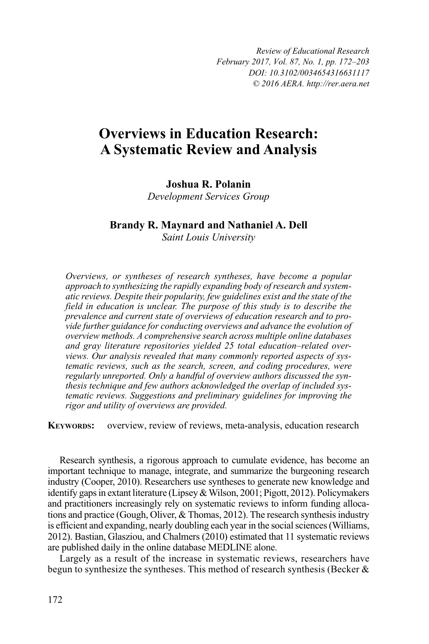*Review of Educational Research February 2017, Vol. 87, No. 1, pp. 172–203 DOI: [10.3102/0034654316631117](https://doi.org/10.3102/0034654316631117) © 2016 AERA. http://rer.aera.net*

# **Overviews in Education Research: A Systematic Review and Analysis**

# **Joshua R. Polanin**

*Development Services Group*

# **Brandy R. Maynard and Nathaniel A. Dell**

*Saint Louis University*

*Overviews, or syntheses of research syntheses, have become a popular approach to synthesizing the rapidly expanding body of research and systematic reviews. Despite their popularity, few guidelines exist and the state of the field in education is unclear. The purpose of this study is to describe the prevalence and current state of overviews of education research and to provide further guidance for conducting overviews and advance the evolution of overview methods. A comprehensive search across multiple online databases and gray literature repositories yielded 25 total education–related overviews. Our analysis revealed that many commonly reported aspects of systematic reviews, such as the search, screen, and coding procedures, were regularly unreported. Only a handful of overview authors discussed the synthesis technique and few authors acknowledged the overlap of included systematic reviews. Suggestions and preliminary guidelines for improving the rigor and utility of overviews are provided.*

**KEYWORDS:** overview, review of reviews, meta-analysis, education research

Research synthesis, a rigorous approach to cumulate evidence, has become an important technique to manage, integrate, and summarize the burgeoning research industry (Cooper, 2010). Researchers use syntheses to generate new knowledge and identify gaps in extant literature (Lipsey & Wilson, 2001; Pigott, 2012). Policymakers and practitioners increasingly rely on systematic reviews to inform funding allocations and practice (Gough, Oliver, & Thomas, 2012). The research synthesis industry is efficient and expanding, nearly doubling each year in the social sciences (Williams, 2012). Bastian, Glasziou, and Chalmers (2010) estimated that 11 systematic reviews are published daily in the online database MEDLINE alone.

Largely as a result of the increase in systematic reviews, researchers have begun to synthesize the syntheses. This method of research synthesis (Becker &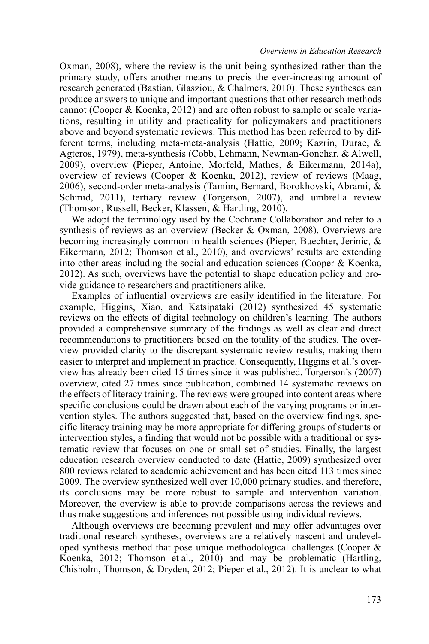Oxman, 2008), where the review is the unit being synthesized rather than the primary study, offers another means to precis the ever-increasing amount of research generated (Bastian, Glasziou, & Chalmers, 2010). These syntheses can produce answers to unique and important questions that other research methods cannot (Cooper & Koenka, 2012) and are often robust to sample or scale variations, resulting in utility and practicality for policymakers and practitioners above and beyond systematic reviews. This method has been referred to by different terms, including meta-meta-analysis (Hattie, 2009; Kazrin, Durac, & Agteros, 1979), meta-synthesis (Cobb, Lehmann, Newman-Gonchar, & Alwell, 2009), overview (Pieper, Antoine, Morfeld, Mathes, & Eikermann, 2014a), overview of reviews (Cooper & Koenka, 2012), review of reviews (Maag, 2006), second-order meta-analysis (Tamim, Bernard, Borokhovski, Abrami, & Schmid, 2011), tertiary review (Torgerson, 2007), and umbrella review (Thomson, Russell, Becker, Klassen, & Hartling, 2010).

We adopt the terminology used by the Cochrane Collaboration and refer to a synthesis of reviews as an overview (Becker & Oxman, 2008). Overviews are becoming increasingly common in health sciences (Pieper, Buechter, Jerinic, & Eikermann, 2012; Thomson et al., 2010), and overviews' results are extending into other areas including the social and education sciences (Cooper & Koenka, 2012). As such, overviews have the potential to shape education policy and provide guidance to researchers and practitioners alike.

Examples of influential overviews are easily identified in the literature. For example, Higgins, Xiao, and Katsipataki (2012) synthesized 45 systematic reviews on the effects of digital technology on children's learning. The authors provided a comprehensive summary of the findings as well as clear and direct recommendations to practitioners based on the totality of the studies. The overview provided clarity to the discrepant systematic review results, making them easier to interpret and implement in practice. Consequently, Higgins et al.'s overview has already been cited 15 times since it was published. Torgerson's (2007) overview, cited 27 times since publication, combined 14 systematic reviews on the effects of literacy training. The reviews were grouped into content areas where specific conclusions could be drawn about each of the varying programs or intervention styles. The authors suggested that, based on the overview findings, specific literacy training may be more appropriate for differing groups of students or intervention styles, a finding that would not be possible with a traditional or systematic review that focuses on one or small set of studies. Finally, the largest education research overview conducted to date (Hattie, 2009) synthesized over 800 reviews related to academic achievement and has been cited 113 times since 2009. The overview synthesized well over 10,000 primary studies, and therefore, its conclusions may be more robust to sample and intervention variation. Moreover, the overview is able to provide comparisons across the reviews and thus make suggestions and inferences not possible using individual reviews.

Although overviews are becoming prevalent and may offer advantages over traditional research syntheses, overviews are a relatively nascent and undeveloped synthesis method that pose unique methodological challenges (Cooper & Koenka, 2012; Thomson et al., 2010) and may be problematic (Hartling, Chisholm, Thomson, & Dryden, 2012; Pieper et al., 2012). It is unclear to what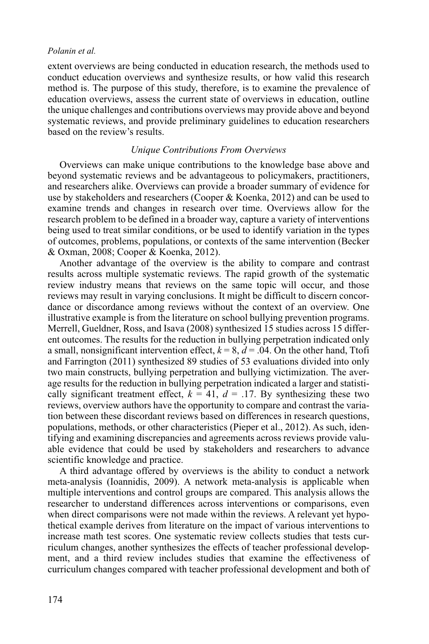extent overviews are being conducted in education research, the methods used to conduct education overviews and synthesize results, or how valid this research method is. The purpose of this study, therefore, is to examine the prevalence of education overviews, assess the current state of overviews in education, outline the unique challenges and contributions overviews may provide above and beyond systematic reviews, and provide preliminary guidelines to education researchers based on the review's results.

# *Unique Contributions From Overviews*

Overviews can make unique contributions to the knowledge base above and beyond systematic reviews and be advantageous to policymakers, practitioners, and researchers alike. Overviews can provide a broader summary of evidence for use by stakeholders and researchers (Cooper & Koenka, 2012) and can be used to examine trends and changes in research over time. Overviews allow for the research problem to be defined in a broader way, capture a variety of interventions being used to treat similar conditions, or be used to identify variation in the types of outcomes, problems, populations, or contexts of the same intervention (Becker & Oxman, 2008; Cooper & Koenka, 2012).

Another advantage of the overview is the ability to compare and contrast results across multiple systematic reviews. The rapid growth of the systematic review industry means that reviews on the same topic will occur, and those reviews may result in varying conclusions. It might be difficult to discern concordance or discordance among reviews without the context of an overview. One illustrative example is from the literature on school bullying prevention programs. Merrell, Gueldner, Ross, and Isava (2008) synthesized 15 studies across 15 different outcomes. The results for the reduction in bullying perpetration indicated only a small, nonsignificant intervention effect,  $k = 8$ ,  $d = .04$ . On the other hand, Ttofi and Farrington (2011) synthesized 89 studies of 53 evaluations divided into only two main constructs, bullying perpetration and bullying victimization. The average results for the reduction in bullying perpetration indicated a larger and statistically significant treatment effect,  $k = 41$ ,  $d = .17$ . By synthesizing these two reviews, overview authors have the opportunity to compare and contrast the variation between these discordant reviews based on differences in research questions, populations, methods, or other characteristics (Pieper et al., 2012). As such, identifying and examining discrepancies and agreements across reviews provide valuable evidence that could be used by stakeholders and researchers to advance scientific knowledge and practice.

A third advantage offered by overviews is the ability to conduct a network meta-analysis (Ioannidis, 2009). A network meta-analysis is applicable when multiple interventions and control groups are compared. This analysis allows the researcher to understand differences across interventions or comparisons, even when direct comparisons were not made within the reviews. A relevant yet hypothetical example derives from literature on the impact of various interventions to increase math test scores. One systematic review collects studies that tests curriculum changes, another synthesizes the effects of teacher professional development, and a third review includes studies that examine the effectiveness of curriculum changes compared with teacher professional development and both of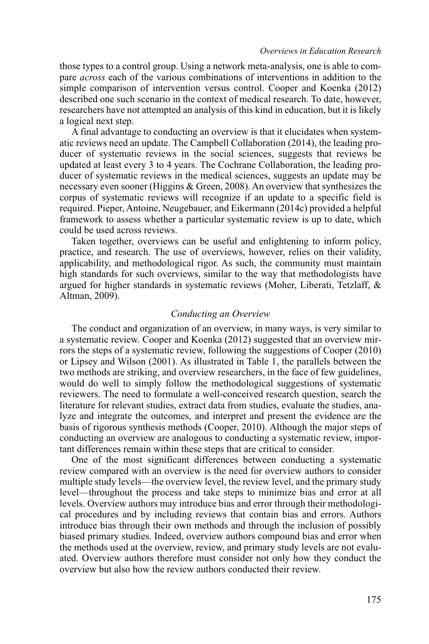those types to a control group. Using a network meta-analysis, one is able to compare *across* each of the various combinations of interventions in addition to the simple comparison of intervention versus control. Cooper and Koenka (2012) described one such scenario in the context of medical research. To date, however, researchers have not attempted an analysis of this kind in education, but it is likely a logical next step.

A final advantage to conducting an overview is that it elucidates when systematic reviews need an update. The Campbell Collaboration (2014), the leading producer of systematic reviews in the social sciences, suggests that reviews be updated at least every 3 to 4 years. The Cochrane Collaboration, the leading producer of systematic reviews in the medical sciences, suggests an update may be necessary even sooner (Higgins & Green, 2008). An overview that synthesizes the corpus of systematic reviews will recognize if an update to a specific field is required. Pieper, Antoine, Neugebauer, and Eikermann (2014c) provided a helpful framework to assess whether a particular systematic review is up to date, which could be used across reviews.

Taken together, overviews can be useful and enlightening to inform policy, practice, and research. The use of overviews, however, relies on their validity, applicability, and methodological rigor. As such, the community must maintain high standards for such overviews, similar to the way that methodologists have argued for higher standards in systematic reviews (Moher, Liberati, Tetzlaff, & Altman, 2009).

# *Conducting an Overview*

The conduct and organization of an overview, in many ways, is very similar to a systematic review. Cooper and Koenka (2012) suggested that an overview mirrors the steps of a systematic review, following the suggestions of Cooper (2010) or Lipsey and Wilson (2001). As illustrated in Table 1, the parallels between the two methods are striking, and overview researchers, in the face of few guidelines, would do well to simply follow the methodological suggestions of systematic reviewers. The need to formulate a well-conceived research question, search the literature for relevant studies, extract data from studies, evaluate the studies, analyze and integrate the outcomes, and interpret and present the evidence are the basis of rigorous synthesis methods (Cooper, 2010). Although the major steps of conducting an overview are analogous to conducting a systematic review, important differences remain within these steps that are critical to consider.

One of the most significant differences between conducting a systematic review compared with an overview is the need for overview authors to consider multiple study levels—the overview level, the review level, and the primary study level—throughout the process and take steps to minimize bias and error at all levels. Overview authors may introduce bias and error through their methodological procedures and by including reviews that contain bias and errors. Authors introduce bias through their own methods and through the inclusion of possibly biased primary studies. Indeed, overview authors compound bias and error when the methods used at the overview, review, and primary study levels are not evaluated. Overview authors therefore must consider not only how they conduct the overview but also how the review authors conducted their review.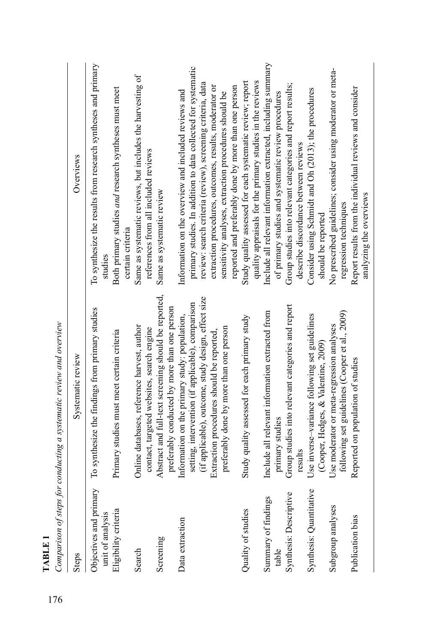|                                            | comparison of steps for commenting a systematic review and over new                                                                                       |                                                                                                                                                                                     |
|--------------------------------------------|-----------------------------------------------------------------------------------------------------------------------------------------------------------|-------------------------------------------------------------------------------------------------------------------------------------------------------------------------------------|
| Steps                                      | Systematic review                                                                                                                                         | Overviews                                                                                                                                                                           |
| Objectives and primary<br>unit of analysis | To synthesize the findings from primary studies                                                                                                           | To synthesize the results from research syntheses and primary<br>studies                                                                                                            |
| Eligibility criteria                       | Primary studies must meet certain criteria                                                                                                                | Both primary studies and research syntheses must meet<br>certain criteria                                                                                                           |
| Search                                     | Online databases, reference harvest, author<br>contact, targeted websites, search engine                                                                  | Same as systematic reviews, but includes the harvesting of<br>references from all included reviews                                                                                  |
| Screening                                  | Abstract and full-text screening should be reported,<br>preferably conducted by more than one person                                                      | Same as systematic review                                                                                                                                                           |
| Data extraction                            | (if applicable), outcome, study design, effect size<br>setting, intervention (if applicable), comparison<br>Information on the primary study: population, | primary studies. In addition to data collected for systematic<br>review: search criteria (review), screening criteria, data<br>Information on the overview and included reviews and |
|                                            | preferably done by more than one person<br>Extraction procedures should be reported.                                                                      | extraction procedures, outcomes, results, moderator or<br>reported and preferably done by more than one person<br>sensitivity analyses, extraction procedures should be             |
| Quality of studies                         | Study quality assessed for each primary study                                                                                                             | quality appraisals for the primary studies in the reviews<br>Study quality assessed for each systematic review; report                                                              |
| Summary of findings<br>$t$ able            | Include all relevant information extracted from<br>primary studies                                                                                        | Include all relevant information extracted, including summary<br>of primary studies and systematic review procedures                                                                |
| Synthesis: Descriptive                     | Group studies into relevant categories and report<br>results                                                                                              | Group studies into relevant categories and report results;<br>describe discordance between reviews                                                                                  |
| Synthesis: Quantitative                    | Use inverse-variance following set guidelines<br>(Cooper, Hedges, & Valentine, 2009)                                                                      | Consider using Schmidt and Oh (2013); the procedures<br>should be reported                                                                                                          |
| Subgroup analyses                          | following set guidelines (Cooper et al., 2009)<br>Use moderator or meta-regression analyses                                                               | No prescribed guidelines; consider using moderator or meta-<br>regression techniques                                                                                                |
| Publication bias                           | Reported on population of studies                                                                                                                         | Report results from the individual reviews and consider<br>analyzing the overviews                                                                                                  |

and overview 176 **Table 1** *Comparison of steps for conducting a systematic review and overview* roviou a metamatic  $\begin{array}{ll}\n\textbf{TABLE 1} \\
\textbf{Comvarizon of steps for conducting}\n\end{array}$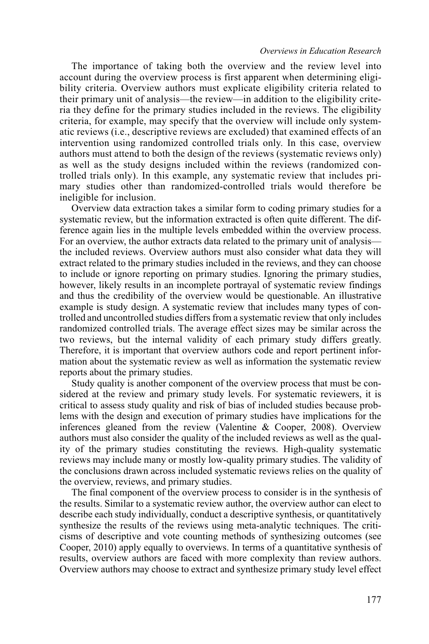The importance of taking both the overview and the review level into account during the overview process is first apparent when determining eligibility criteria. Overview authors must explicate eligibility criteria related to their primary unit of analysis—the review—in addition to the eligibility criteria they define for the primary studies included in the reviews. The eligibility criteria, for example, may specify that the overview will include only systematic reviews (i.e., descriptive reviews are excluded) that examined effects of an intervention using randomized controlled trials only. In this case, overview authors must attend to both the design of the reviews (systematic reviews only) as well as the study designs included within the reviews (randomized controlled trials only). In this example, any systematic review that includes primary studies other than randomized-controlled trials would therefore be ineligible for inclusion.

Overview data extraction takes a similar form to coding primary studies for a systematic review, but the information extracted is often quite different. The difference again lies in the multiple levels embedded within the overview process. For an overview, the author extracts data related to the primary unit of analysis the included reviews. Overview authors must also consider what data they will extract related to the primary studies included in the reviews, and they can choose to include or ignore reporting on primary studies. Ignoring the primary studies, however, likely results in an incomplete portrayal of systematic review findings and thus the credibility of the overview would be questionable. An illustrative example is study design. A systematic review that includes many types of controlled and uncontrolled studies differs from a systematic review that only includes randomized controlled trials. The average effect sizes may be similar across the two reviews, but the internal validity of each primary study differs greatly. Therefore, it is important that overview authors code and report pertinent information about the systematic review as well as information the systematic review reports about the primary studies.

Study quality is another component of the overview process that must be considered at the review and primary study levels. For systematic reviewers, it is critical to assess study quality and risk of bias of included studies because problems with the design and execution of primary studies have implications for the inferences gleaned from the review (Valentine & Cooper, 2008). Overview authors must also consider the quality of the included reviews as well as the quality of the primary studies constituting the reviews. High-quality systematic reviews may include many or mostly low-quality primary studies. The validity of the conclusions drawn across included systematic reviews relies on the quality of the overview, reviews, and primary studies.

The final component of the overview process to consider is in the synthesis of the results. Similar to a systematic review author, the overview author can elect to describe each study individually, conduct a descriptive synthesis, or quantitatively synthesize the results of the reviews using meta-analytic techniques. The criticisms of descriptive and vote counting methods of synthesizing outcomes (see Cooper, 2010) apply equally to overviews. In terms of a quantitative synthesis of results, overview authors are faced with more complexity than review authors. Overview authors may choose to extract and synthesize primary study level effect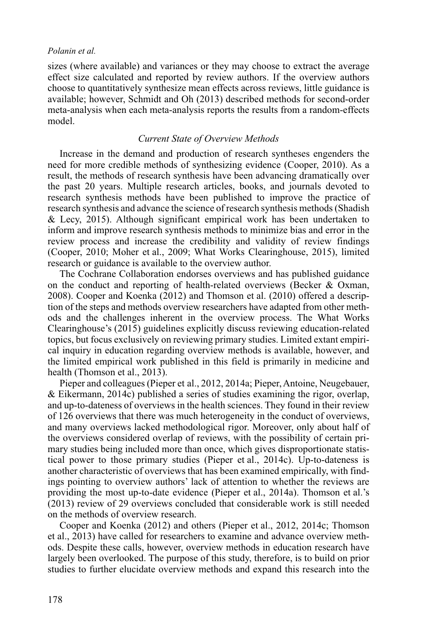sizes (where available) and variances or they may choose to extract the average effect size calculated and reported by review authors. If the overview authors choose to quantitatively synthesize mean effects across reviews, little guidance is available; however, Schmidt and Oh (2013) described methods for second-order meta-analysis when each meta-analysis reports the results from a random-effects model.

# *Current State of Overview Methods*

Increase in the demand and production of research syntheses engenders the need for more credible methods of synthesizing evidence (Cooper, 2010). As a result, the methods of research synthesis have been advancing dramatically over the past 20 years. Multiple research articles, books, and journals devoted to research synthesis methods have been published to improve the practice of research synthesis and advance the science of research synthesis methods (Shadish & Lecy, 2015). Although significant empirical work has been undertaken to inform and improve research synthesis methods to minimize bias and error in the review process and increase the credibility and validity of review findings (Cooper, 2010; Moher et al., 2009; What Works Clearinghouse, 2015), limited research or guidance is available to the overview author.

The Cochrane Collaboration endorses overviews and has published guidance on the conduct and reporting of health-related overviews (Becker & Oxman, 2008). Cooper and Koenka (2012) and Thomson et al. (2010) offered a description of the steps and methods overview researchers have adapted from other methods and the challenges inherent in the overview process. The What Works Clearinghouse's (2015) guidelines explicitly discuss reviewing education-related topics, but focus exclusively on reviewing primary studies. Limited extant empirical inquiry in education regarding overview methods is available, however, and the limited empirical work published in this field is primarily in medicine and health (Thomson et al., 2013).

Pieper and colleagues (Pieper et al., 2012, 2014a; Pieper, Antoine, Neugebauer, & Eikermann, 2014c) published a series of studies examining the rigor, overlap, and up-to-dateness of overviews in the health sciences. They found in their review of 126 overviews that there was much heterogeneity in the conduct of overviews, and many overviews lacked methodological rigor. Moreover, only about half of the overviews considered overlap of reviews, with the possibility of certain primary studies being included more than once, which gives disproportionate statistical power to those primary studies (Pieper et al., 2014c). Up-to-dateness is another characteristic of overviews that has been examined empirically, with findings pointing to overview authors' lack of attention to whether the reviews are providing the most up-to-date evidence (Pieper et al., 2014a). Thomson et al.'s (2013) review of 29 overviews concluded that considerable work is still needed on the methods of overview research.

Cooper and Koenka (2012) and others (Pieper et al., 2012, 2014c; Thomson et al., 2013) have called for researchers to examine and advance overview methods. Despite these calls, however, overview methods in education research have largely been overlooked. The purpose of this study, therefore, is to build on prior studies to further elucidate overview methods and expand this research into the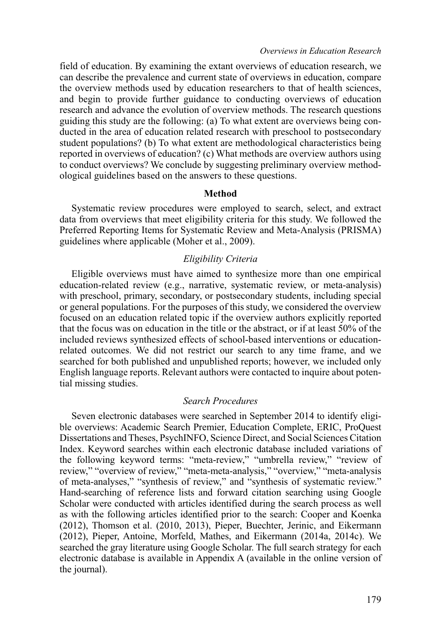field of education. By examining the extant overviews of education research, we can describe the prevalence and current state of overviews in education, compare the overview methods used by education researchers to that of health sciences, and begin to provide further guidance to conducting overviews of education research and advance the evolution of overview methods. The research questions guiding this study are the following: (a) To what extent are overviews being conducted in the area of education related research with preschool to postsecondary student populations? (b) To what extent are methodological characteristics being reported in overviews of education? (c) What methods are overview authors using to conduct overviews? We conclude by suggesting preliminary overview methodological guidelines based on the answers to these questions.

# **Method**

Systematic review procedures were employed to search, select, and extract data from overviews that meet eligibility criteria for this study. We followed the Preferred Reporting Items for Systematic Review and Meta-Analysis (PRISMA) guidelines where applicable (Moher et al., 2009).

# *Eligibility Criteria*

Eligible overviews must have aimed to synthesize more than one empirical education-related review (e.g., narrative, systematic review, or meta-analysis) with preschool, primary, secondary, or postsecondary students, including special or general populations. For the purposes of this study, we considered the overview focused on an education related topic if the overview authors explicitly reported that the focus was on education in the title or the abstract, or if at least 50% of the included reviews synthesized effects of school-based interventions or educationrelated outcomes. We did not restrict our search to any time frame, and we searched for both published and unpublished reports; however, we included only English language reports. Relevant authors were contacted to inquire about potential missing studies.

# *Search Procedures*

Seven electronic databases were searched in September 2014 to identify eligible overviews: Academic Search Premier, Education Complete, ERIC, ProQuest Dissertations and Theses, PsychINFO, Science Direct, and Social Sciences Citation Index. Keyword searches within each electronic database included variations of the following keyword terms: "meta-review," "umbrella review," "review of review," "overview of review," "meta-meta-analysis," "overview," "meta-analysis of meta-analyses," "synthesis of review," and "synthesis of systematic review." Hand-searching of reference lists and forward citation searching using Google Scholar were conducted with articles identified during the search process as well as with the following articles identified prior to the search: Cooper and Koenka (2012), Thomson et al. (2010, 2013), Pieper, Buechter, Jerinic, and Eikermann (2012), Pieper, Antoine, Morfeld, Mathes, and Eikermann (2014a, 2014c). We searched the gray literature using Google Scholar. The full search strategy for each electronic database is available in Appendix A (available in the online version of the journal).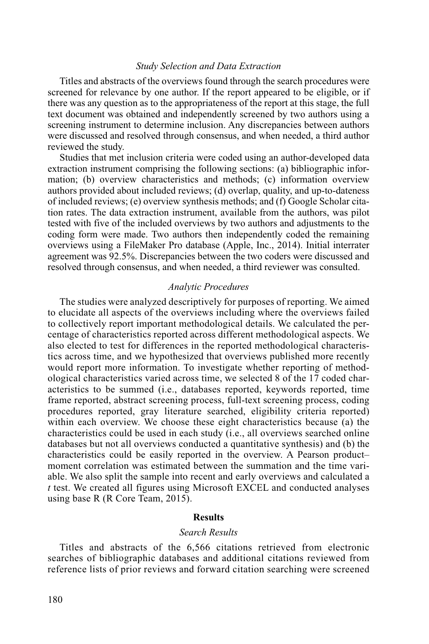#### *Study Selection and Data Extraction*

Titles and abstracts of the overviews found through the search procedures were screened for relevance by one author. If the report appeared to be eligible, or if there was any question as to the appropriateness of the report at this stage, the full text document was obtained and independently screened by two authors using a screening instrument to determine inclusion. Any discrepancies between authors were discussed and resolved through consensus, and when needed, a third author reviewed the study.

Studies that met inclusion criteria were coded using an author-developed data extraction instrument comprising the following sections: (a) bibliographic information; (b) overview characteristics and methods; (c) information overview authors provided about included reviews; (d) overlap, quality, and up-to-dateness of included reviews; (e) overview synthesis methods; and (f) Google Scholar citation rates. The data extraction instrument, available from the authors, was pilot tested with five of the included overviews by two authors and adjustments to the coding form were made. Two authors then independently coded the remaining overviews using a FileMaker Pro database (Apple, Inc., 2014). Initial interrater agreement was 92.5%. Discrepancies between the two coders were discussed and resolved through consensus, and when needed, a third reviewer was consulted.

#### *Analytic Procedures*

The studies were analyzed descriptively for purposes of reporting. We aimed to elucidate all aspects of the overviews including where the overviews failed to collectively report important methodological details. We calculated the percentage of characteristics reported across different methodological aspects. We also elected to test for differences in the reported methodological characteristics across time, and we hypothesized that overviews published more recently would report more information. To investigate whether reporting of methodological characteristics varied across time, we selected 8 of the 17 coded characteristics to be summed (i.e., databases reported, keywords reported, time frame reported, abstract screening process, full-text screening process, coding procedures reported, gray literature searched, eligibility criteria reported) within each overview. We choose these eight characteristics because (a) the characteristics could be used in each study (i.e., all overviews searched online databases but not all overviews conducted a quantitative synthesis) and (b) the characteristics could be easily reported in the overview. A Pearson product– moment correlation was estimated between the summation and the time variable. We also split the sample into recent and early overviews and calculated a *t* test. We created all figures using Microsoft EXCEL and conducted analyses using base R (R Core Team, 2015).

# **Results**

## *Search Results*

Titles and abstracts of the 6,566 citations retrieved from electronic searches of bibliographic databases and additional citations reviewed from reference lists of prior reviews and forward citation searching were screened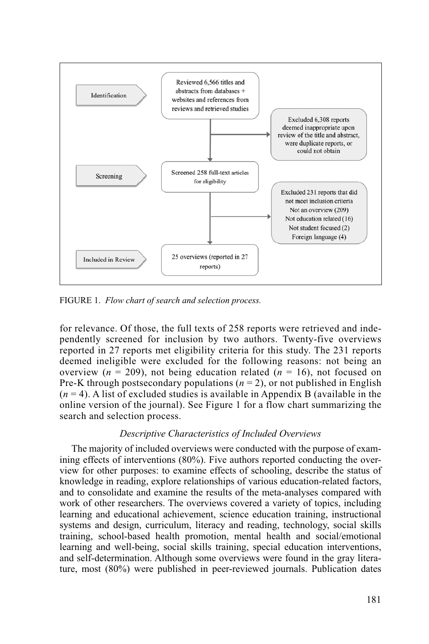

FIGURE 1. *Flow chart of search and selection process.* 

for relevance. Of those, the full texts of 258 reports were retrieved and independently screened for inclusion by two authors. Twenty-five overviews reported in 27 reports met eligibility criteria for this study. The 231 reports deemed ineligible were excluded for the following reasons: not being an overview  $(n = 209)$ , not being education related  $(n = 16)$ , not focused on Pre-K through postsecondary populations  $(n = 2)$ , or not published in English  $(n = 4)$ . A list of excluded studies is available in Appendix B (available in the online version of the journal). See Figure 1 for a flow chart summarizing the search and selection process.

# *Descriptive Characteristics of Included Overviews*

The majority of included overviews were conducted with the purpose of examining effects of interventions (80%). Five authors reported conducting the overview for other purposes: to examine effects of schooling, describe the status of knowledge in reading, explore relationships of various education-related factors, and to consolidate and examine the results of the meta-analyses compared with work of other researchers. The overviews covered a variety of topics, including learning and educational achievement, science education training, instructional systems and design, curriculum, literacy and reading, technology, social skills training, school-based health promotion, mental health and social/emotional learning and well-being, social skills training, special education interventions, and self-determination. Although some overviews were found in the gray literature, most (80%) were published in peer-reviewed journals. Publication dates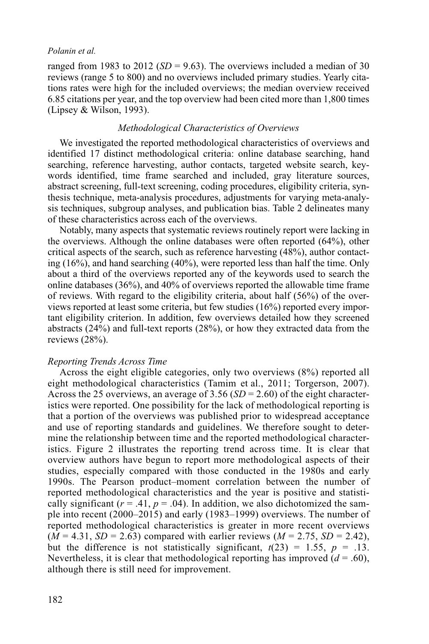ranged from 1983 to 2012 ( $SD = 9.63$ ). The overviews included a median of 30 reviews (range 5 to 800) and no overviews included primary studies. Yearly citations rates were high for the included overviews; the median overview received 6.85 citations per year, and the top overview had been cited more than 1,800 times (Lipsey & Wilson, 1993).

# *Methodological Characteristics of Overviews*

We investigated the reported methodological characteristics of overviews and identified 17 distinct methodological criteria: online database searching, hand searching, reference harvesting, author contacts, targeted website search, keywords identified, time frame searched and included, gray literature sources, abstract screening, full-text screening, coding procedures, eligibility criteria, synthesis technique, meta-analysis procedures, adjustments for varying meta-analysis techniques, subgroup analyses, and publication bias. Table 2 delineates many of these characteristics across each of the overviews.

Notably, many aspects that systematic reviews routinely report were lacking in the overviews. Although the online databases were often reported (64%), other critical aspects of the search, such as reference harvesting (48%), author contacting  $(16%)$ , and hand searching  $(40%)$ , were reported less than half the time. Only about a third of the overviews reported any of the keywords used to search the online databases (36%), and 40% of overviews reported the allowable time frame of reviews. With regard to the eligibility criteria, about half (56%) of the overviews reported at least some criteria, but few studies (16%) reported every important eligibility criterion. In addition, few overviews detailed how they screened abstracts (24%) and full-text reports (28%), or how they extracted data from the reviews (28%).

#### *Reporting Trends Across Time*

Across the eight eligible categories, only two overviews (8%) reported all eight methodological characteristics (Tamim et al., 2011; Torgerson, 2007). Across the 25 overviews, an average of  $3.56$  (*SD* = 2.60) of the eight characteristics were reported. One possibility for the lack of methodological reporting is that a portion of the overviews was published prior to widespread acceptance and use of reporting standards and guidelines. We therefore sought to determine the relationship between time and the reported methodological characteristics. Figure 2 illustrates the reporting trend across time. It is clear that overview authors have begun to report more methodological aspects of their studies, especially compared with those conducted in the 1980s and early 1990s. The Pearson product–moment correlation between the number of reported methodological characteristics and the year is positive and statistically significant  $(r = .41, p = .04)$ . In addition, we also dichotomized the sample into recent (2000–2015) and early (1983–1999) overviews. The number of reported methodological characteristics is greater in more recent overviews  $(M = 4.31, SD = 2.63)$  compared with earlier reviews  $(M = 2.75, SD = 2.42)$ , but the difference is not statistically significant,  $t(23) = 1.55$ ,  $p = .13$ . Nevertheless, it is clear that methodological reporting has improved  $(d = .60)$ , although there is still need for improvement.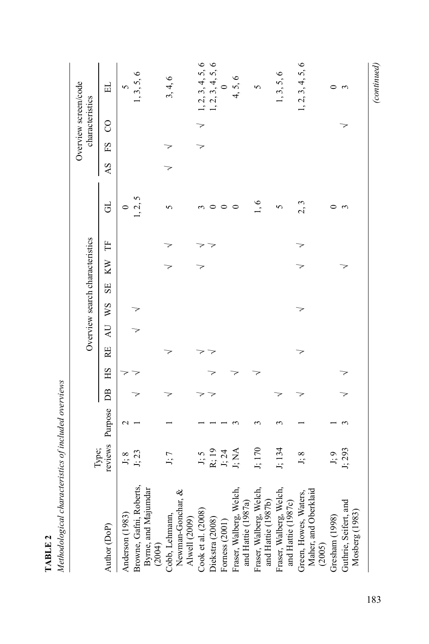|                                                          |               |                    |    |    |    | Overview search characteristics |    |    |   |         |    |    | characteristics | Overview screen/code |
|----------------------------------------------------------|---------------|--------------------|----|----|----|---------------------------------|----|----|---|---------|----|----|-----------------|----------------------|
| Author (DoP)                                             | Type;         | reviews Purpose DB | НS | RE | AU | <b>NS</b>                       | SE | KW | Ë | 5       | AS | FS | $\infty$        | 旵                    |
| Anderson (1983)                                          | J; 8          | $\sim$             |    |    |    |                                 |    |    |   | 0       |    |    |                 | 5                    |
| Browne, Gafni, Roberts,<br>Byrne, and Majumdar<br>(2004) | J: 23         |                    |    |    |    |                                 |    |    |   | 1, 2, 5 |    |    |                 | 1, 3, 5, 6           |
| Newman-Gonchar, &<br>Cobb, Lehmann,<br>Alwell (2009)     | J;7           |                    |    |    |    |                                 |    |    |   | 5       |    |    |                 | 3, 4, 6              |
| Cook et al. (2008)                                       |               |                    |    |    |    |                                 |    |    |   |         |    |    |                 | , 2, 3, 4, 5, 6      |
| Diekstra (2008)                                          | J; 5<br>R; 19 |                    |    |    |    |                                 |    |    |   | $\circ$ |    |    |                 | 1, 2, 3, 4, 5, 6     |
| Forness (2001)                                           | J: 24         |                    |    |    |    |                                 |    |    |   | $\circ$ |    |    |                 |                      |
| Fraser, Walberg, Welch,<br>and Hattie (1987a)            | J; NA         |                    |    |    |    |                                 |    |    |   | $\circ$ |    |    |                 | 4,5,6                |
| Fraser, Walberg, Welch,<br>and Hattie (1987b)            | J; 170        |                    |    |    |    |                                 |    |    |   | 1, 6    |    |    |                 | 5                    |
| Fraser, Walberg, Welch,<br>and Hattie (1987c)            | J; 134        |                    |    |    |    |                                 |    |    |   | 5       |    |    |                 | 1, 3, 5, 6           |
| Maher, and Oberklaid<br>Green, Howes, Waters,<br>(2005)  | J; 8          |                    |    | 7  |    |                                 |    |    |   | 2, 3    |    |    |                 | 1, 2, 3, 4, 5, 6     |
| Gresham (1998)                                           | J:9           |                    |    |    |    |                                 |    |    |   | ⊂       |    |    |                 |                      |
| Guthrie, Seifert, and<br>Mosberg (1983)                  | J; 293        |                    |    |    |    |                                 |    |    |   | 3       |    |    |                 | $\epsilon$           |
|                                                          |               |                    |    |    |    |                                 |    |    |   |         |    |    |                 | (continued)          |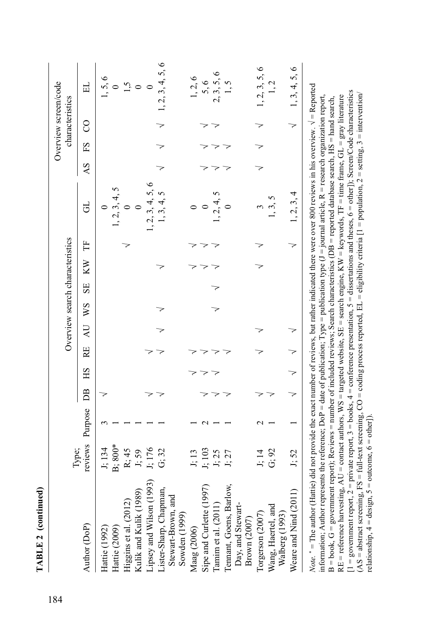|                                                                                                                                                                                                                                                                                                                                  | Type;   |                 |   |             |    | Overview search characteristics |    |    |                 |   |                      |          | characteristics | Overview screen/code |
|----------------------------------------------------------------------------------------------------------------------------------------------------------------------------------------------------------------------------------------------------------------------------------------------------------------------------------|---------|-----------------|---|-------------|----|---------------------------------|----|----|-----------------|---|----------------------|----------|-----------------|----------------------|
| Author (DoP)                                                                                                                                                                                                                                                                                                                     |         | reviews Purpose | B | $_{\rm HS}$ | RE | AU                              | WS | SE | $\overline{K}W$ | Ë | ಕ                    | AS FS CO |                 | 님                    |
| Hattie (1992)                                                                                                                                                                                                                                                                                                                    | J; 134  |                 |   |             |    |                                 |    |    |                 |   |                      |          |                 | 1, 5, 6              |
| Hattie (2009)                                                                                                                                                                                                                                                                                                                    | B; 800* |                 |   |             |    |                                 |    |    |                 |   |                      |          |                 |                      |
| Higgins et al. (2012)                                                                                                                                                                                                                                                                                                            | R; 45   |                 |   |             |    |                                 |    |    |                 |   | $1, 2, 3, 4, 5$<br>0 |          |                 | 1,5                  |
| Kulik and Kulik (1989)                                                                                                                                                                                                                                                                                                           | J; 59   |                 |   |             |    |                                 |    |    |                 |   |                      |          |                 |                      |
| Lipsey and Wilson (1993)                                                                                                                                                                                                                                                                                                         | J; 176  |                 |   |             |    |                                 |    |    |                 |   | 1, 2, 3, 4, 5, 6     |          |                 |                      |
| Lister-Sharp, Chapman,                                                                                                                                                                                                                                                                                                           | G:32    |                 |   |             |    |                                 |    |    |                 |   |                      |          |                 | 1, 2, 3, 4, 5, 6     |
| Stewart-Brown, and<br>Sowden $(1999)$                                                                                                                                                                                                                                                                                            |         |                 |   |             |    |                                 |    |    |                 |   |                      |          |                 |                      |
| Maag (2006)                                                                                                                                                                                                                                                                                                                      | J:13    |                 |   |             |    |                                 |    |    |                 |   |                      |          |                 | 1, 2, 6              |
| Sipe and Curlette (1997)                                                                                                                                                                                                                                                                                                         | J; 103  |                 |   |             |    |                                 |    |    |                 |   |                      |          |                 | 5,6                  |
| Tamim et al. (2011)                                                                                                                                                                                                                                                                                                              | J: 25   |                 |   |             |    |                                 |    |    |                 |   | 1, 2, 4, 5           |          |                 | 2, 3, 5, 6           |
| Tennant, Goens, Barlow,                                                                                                                                                                                                                                                                                                          | J: 27   |                 |   |             |    |                                 |    |    |                 |   |                      |          |                 |                      |
| Day, and Stewart-<br>Brown (2007)                                                                                                                                                                                                                                                                                                |         |                 |   |             |    |                                 |    |    |                 |   |                      |          |                 |                      |
| Torgerson (2007)                                                                                                                                                                                                                                                                                                                 | J:14    |                 |   |             |    |                                 |    |    |                 |   |                      |          |                 | 1, 2, 3, 5, 6        |
| Wang, Haertel, and<br>Walberg (1993)                                                                                                                                                                                                                                                                                             | G; 92   |                 |   |             |    |                                 |    |    |                 |   | 1, 3, 5              |          |                 |                      |
| Weare and Nind (2011)                                                                                                                                                                                                                                                                                                            | J; 52   |                 |   |             |    |                                 |    |    |                 |   | 1, 2, 3, 4           |          |                 | 1, 3, 4, 5, 6        |
| Note: $*$ = The author (Hattie) did not provide the exact number of reviews, but rather indicated there were over 800 reviews in his overview. $\sqrt{ } =$ Reported<br>information; Author represents the reference; DoP = date of publication; Type = publication type (J = journal article, R = research organization report, |         |                 |   |             |    |                                 |    |    |                 |   |                      |          |                 |                      |

[1 = government report,  $2$  = private report, 3 = books, 4 = conference presentation, 5 = dissertations and theses, 6 = other]); Screen/Code characteristics (AS = abstract screening, FS = full-text screening, CO = coding [1 = government report, 2 = private report, 3 = books, 4 = conference presentation, 5 = dissertations and theses, 6 = other]); Screen/Code characteristics  $RE = reference$  harvesting,  $AU =$  contact authors,  $WS =$  targeted website,  $SE =$  search engine,  $KW =$  keywords,  $TF =$  time frame,  $GL =$  gray literature (AS = abstract screening, FS = full-text screening, CO = coding process reported, EL = eligibility criteria [1 = population, 2 = setting, 3 = intervention/ RE = reference harvesting, AU = contact authors, WS = targeted website, SE = search engine, KW = keywords, TF = time frame, GL = gray literature  $B = book, G = government report; Reviews = number of included reviews; Search characteristics (DB = reports) and state, HS = hand search, and search.$ B = book, G = government report); Reviews = number of included reviews; Search characteristics (DB = reported database search, HS = hand search, relationship,  $4 =$  design,  $5 =$  outcome,  $6 =$  other]). relationship,  $4 = \text{design}, 5 = \text{outcome}, 6 = \text{other}$ ]).

**T**

**able 2 (continued)**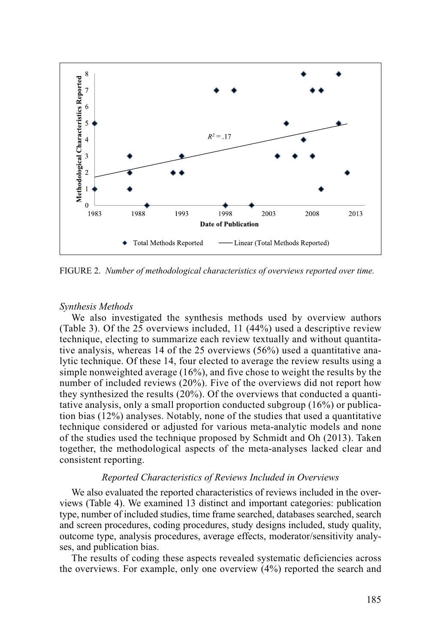

Figure 2. *Number of methodological characteristics of overviews reported over time.*

#### *Synthesis Methods*

We also investigated the synthesis methods used by overview authors (Table 3). Of the 25 overviews included, 11 (44%) used a descriptive review technique, electing to summarize each review textually and without quantitative analysis, whereas 14 of the 25 overviews (56%) used a quantitative analytic technique. Of these 14, four elected to average the review results using a simple nonweighted average (16%), and five chose to weight the results by the number of included reviews (20%). Five of the overviews did not report how they synthesized the results (20%). Of the overviews that conducted a quantitative analysis, only a small proportion conducted subgroup (16%) or publication bias  $(12\%)$  analyses. Notably, none of the studies that used a quantitative technique considered or adjusted for various meta-analytic models and none of the studies used the technique proposed by Schmidt and Oh (2013). Taken together, the methodological aspects of the meta-analyses lacked clear and consistent reporting.

# *Reported Characteristics of Reviews Included in Overviews*

We also evaluated the reported characteristics of reviews included in the overviews (Table 4). We examined 13 distinct and important categories: publication type, number of included studies, time frame searched, databases searched, search and screen procedures, coding procedures, study designs included, study quality, outcome type, analysis procedures, average effects, moderator/sensitivity analyses, and publication bias.

The results of coding these aspects revealed systematic deficiencies across the overviews. For example, only one overview (4%) reported the search and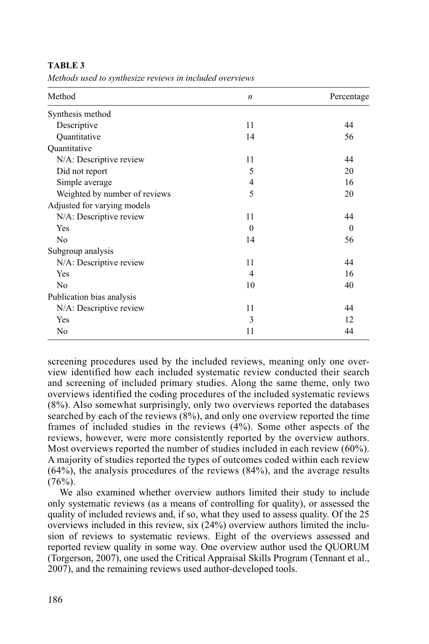| Method                        | $\boldsymbol{n}$ | Percentage |
|-------------------------------|------------------|------------|
| Synthesis method              |                  |            |
| Descriptive                   | 11               | 44         |
| Quantitative                  | 14               | 56         |
| Quantitative                  |                  |            |
| N/A: Descriptive review       | 11               | 44         |
| Did not report                | 5                | 20         |
| Simple average                | $\overline{4}$   | 16         |
| Weighted by number of reviews | 5                | 20         |
| Adjusted for varying models   |                  |            |
| N/A: Descriptive review       | 11               | 44         |
| Yes                           | $\Omega$         | $\theta$   |
| N <sub>0</sub>                | 14               | 56         |
| Subgroup analysis             |                  |            |
| N/A: Descriptive review       | 11               | 44         |
| Yes                           | $\overline{4}$   | 16         |
| No                            | 10               | 40         |
| Publication bias analysis     |                  |            |
| N/A: Descriptive review       | 11               | 44         |
| Yes                           | 3                | 12         |
| No                            | 11               | 44         |

**Table 3**

*Methods used to synthesize reviews in included overviews*

screening procedures used by the included reviews, meaning only one overview identified how each included systematic review conducted their search and screening of included primary studies. Along the same theme, only two overviews identified the coding procedures of the included systematic reviews (8%). Also somewhat surprisingly, only two overviews reported the databases searched by each of the reviews  $(8\%)$ , and only one overview reported the time frames of included studies in the reviews (4%). Some other aspects of the reviews, however, were more consistently reported by the overview authors. Most overviews reported the number of studies included in each review (60%). A majority of studies reported the types of outcomes coded within each review (64%), the analysis procedures of the reviews (84%), and the average results  $(76%)$ .

We also examined whether overview authors limited their study to include only systematic reviews (as a means of controlling for quality), or assessed the quality of included reviews and, if so, what they used to assess quality. Of the 25 overviews included in this review, six (24%) overview authors limited the inclusion of reviews to systematic reviews. Eight of the overviews assessed and reported review quality in some way. One overview author used the QUORUM (Torgerson, 2007), one used the Critical Appraisal Skills Program (Tennant et al., 2007), and the remaining reviews used author-developed tools.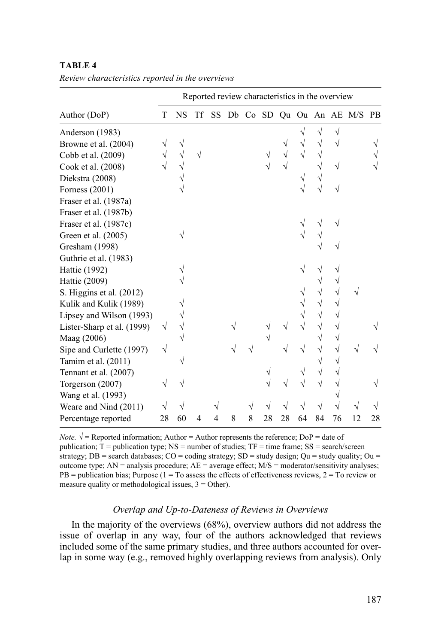| TABLE |  |
|-------|--|
|-------|--|

|                            |    |    |    |   |   |   | Reported review characteristics in the overview |    |    |    |    |                                |    |
|----------------------------|----|----|----|---|---|---|-------------------------------------------------|----|----|----|----|--------------------------------|----|
| Author (DoP)               | T  | NS | Tf |   |   |   |                                                 |    |    |    |    | SS Db Co SD Qu Ou An AE M/S PB |    |
| Anderson (1983)            |    |    |    |   |   |   |                                                 |    |    |    |    |                                |    |
| Browne et al. (2004)       |    |    |    |   |   |   |                                                 |    | V  |    |    |                                |    |
| Cobb et al. (2009)         |    |    |    |   |   |   |                                                 |    |    |    |    |                                |    |
| Cook et al. (2008)         |    |    |    |   |   |   |                                                 |    |    |    |    |                                |    |
| Diekstra (2008)            |    |    |    |   |   |   |                                                 |    |    | ٦  |    |                                |    |
| Forness (2001)             |    |    |    |   |   |   |                                                 |    |    | V  |    |                                |    |
| Fraser et al. (1987a)      |    |    |    |   |   |   |                                                 |    |    |    |    |                                |    |
| Fraser et al. (1987b)      |    |    |    |   |   |   |                                                 |    |    |    |    |                                |    |
| Fraser et al. (1987c)      |    |    |    |   |   |   |                                                 |    |    |    |    |                                |    |
| Green et al. (2005)        |    |    |    |   |   |   |                                                 |    |    |    |    |                                |    |
| Gresham (1998)             |    |    |    |   |   |   |                                                 |    |    |    |    |                                |    |
| Guthrie et al. (1983)      |    |    |    |   |   |   |                                                 |    |    |    |    |                                |    |
| Hattie (1992)              |    |    |    |   |   |   |                                                 |    | V  |    |    |                                |    |
| Hattie (2009)              |    |    |    |   |   |   |                                                 |    |    |    |    |                                |    |
| S. Higgins et al. (2012)   |    |    |    |   |   |   |                                                 |    |    |    |    |                                |    |
| Kulik and Kulik (1989)     |    |    |    |   |   |   |                                                 |    |    | ٦  |    |                                |    |
| Lipsey and Wilson (1993)   |    |    |    |   |   |   |                                                 |    |    |    |    |                                |    |
| Lister-Sharp et al. (1999) | V  |    |    |   |   |   |                                                 |    |    |    | V  |                                |    |
| Maag (2006)                |    |    |    |   |   |   |                                                 |    |    |    | V  |                                |    |
| Sipe and Curlette (1997)   | V  |    |    |   |   |   |                                                 |    |    | V  | V  |                                |    |
| Tamim et al. (2011)        |    |    |    |   |   |   |                                                 |    |    |    | ٦  |                                |    |
| Tennant et al. (2007)      |    |    |    |   |   |   |                                                 |    | V  | V  | ٦  |                                |    |
| Torgerson (2007)           |    |    |    |   |   |   |                                                 |    |    | V  | ٧  |                                |    |
| Wang et al. (1993)         |    |    |    |   |   |   |                                                 |    |    |    |    |                                |    |
| Weare and Nind (2011)      |    |    |    |   |   |   | V                                               | V  | V  | V  | V  |                                |    |
| Percentage reported        | 28 | 60 | 4  | 4 | 8 | 8 | 28                                              | 28 | 64 | 84 | 76 | 12                             | 28 |

*Review characteristics reported in the overviews*

*Note.*  $\sqrt{\ }$  = Reported information; Author = Author represents the reference; DoP = date of publication;  $T =$  publication type;  $NS =$  number of studies;  $TF =$  time frame;  $SS =$  search/screen strategy;  $DB$  = search databases;  $CO$  = coding strategy;  $SD$  = study design;  $Qu$  = study quality;  $Ou$  = outcome type;  $AN =$  analysis procedure;  $AE =$  average effect;  $M/S =$  moderator/sensitivity analyses;  $PB =$  publication bias; Purpose (1 = To assess the effects of effectiveness reviews, 2 = To review or measure quality or methodological issues,  $3 =$  Other).

# *Overlap and Up-to-Dateness of Reviews in Overviews*

In the majority of the overviews (68%), overview authors did not address the issue of overlap in any way, four of the authors acknowledged that reviews included some of the same primary studies, and three authors accounted for overlap in some way (e.g., removed highly overlapping reviews from analysis). Only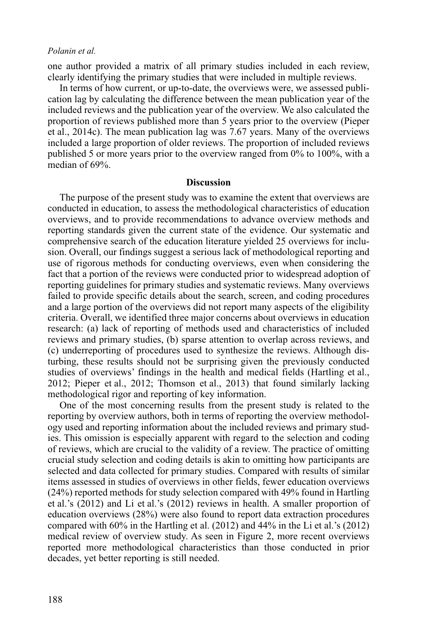one author provided a matrix of all primary studies included in each review, clearly identifying the primary studies that were included in multiple reviews.

In terms of how current, or up-to-date, the overviews were, we assessed publication lag by calculating the difference between the mean publication year of the included reviews and the publication year of the overview. We also calculated the proportion of reviews published more than 5 years prior to the overview (Pieper et al., 2014c). The mean publication lag was 7.67 years. Many of the overviews included a large proportion of older reviews. The proportion of included reviews published 5 or more years prior to the overview ranged from 0% to 100%, with a median of 69%.

#### **Discussion**

The purpose of the present study was to examine the extent that overviews are conducted in education, to assess the methodological characteristics of education overviews, and to provide recommendations to advance overview methods and reporting standards given the current state of the evidence. Our systematic and comprehensive search of the education literature yielded 25 overviews for inclusion. Overall, our findings suggest a serious lack of methodological reporting and use of rigorous methods for conducting overviews, even when considering the fact that a portion of the reviews were conducted prior to widespread adoption of reporting guidelines for primary studies and systematic reviews. Many overviews failed to provide specific details about the search, screen, and coding procedures and a large portion of the overviews did not report many aspects of the eligibility criteria. Overall, we identified three major concerns about overviews in education research: (a) lack of reporting of methods used and characteristics of included reviews and primary studies, (b) sparse attention to overlap across reviews, and (c) underreporting of procedures used to synthesize the reviews. Although disturbing, these results should not be surprising given the previously conducted studies of overviews' findings in the health and medical fields (Hartling et al., 2012; Pieper et al., 2012; Thomson et al., 2013) that found similarly lacking methodological rigor and reporting of key information.

One of the most concerning results from the present study is related to the reporting by overview authors, both in terms of reporting the overview methodology used and reporting information about the included reviews and primary studies. This omission is especially apparent with regard to the selection and coding of reviews, which are crucial to the validity of a review. The practice of omitting crucial study selection and coding details is akin to omitting how participants are selected and data collected for primary studies. Compared with results of similar items assessed in studies of overviews in other fields, fewer education overviews (24%) reported methods for study selection compared with 49% found in Hartling et al.'s (2012) and Li et al.'s (2012) reviews in health. A smaller proportion of education overviews (28%) were also found to report data extraction procedures compared with 60% in the Hartling et al. (2012) and 44% in the Li et al.'s (2012) medical review of overview study. As seen in Figure 2, more recent overviews reported more methodological characteristics than those conducted in prior decades, yet better reporting is still needed.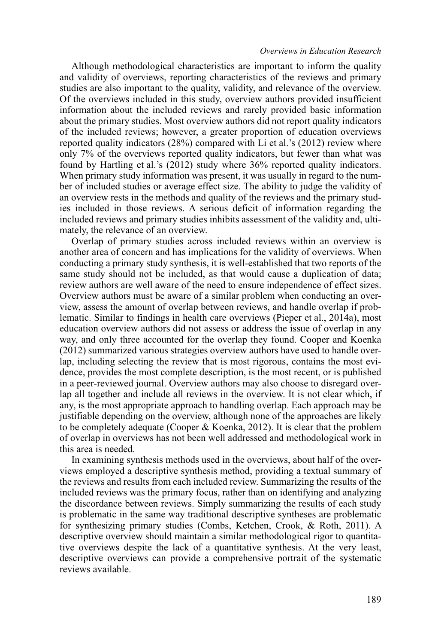#### *Overviews in Education Research*

Although methodological characteristics are important to inform the quality and validity of overviews, reporting characteristics of the reviews and primary studies are also important to the quality, validity, and relevance of the overview. Of the overviews included in this study, overview authors provided insufficient information about the included reviews and rarely provided basic information about the primary studies. Most overview authors did not report quality indicators of the included reviews; however, a greater proportion of education overviews reported quality indicators (28%) compared with Li et al.'s (2012) review where only 7% of the overviews reported quality indicators, but fewer than what was found by Hartling et al.'s (2012) study where 36% reported quality indicators. When primary study information was present, it was usually in regard to the number of included studies or average effect size. The ability to judge the validity of an overview rests in the methods and quality of the reviews and the primary studies included in those reviews. A serious deficit of information regarding the included reviews and primary studies inhibits assessment of the validity and, ultimately, the relevance of an overview.

Overlap of primary studies across included reviews within an overview is another area of concern and has implications for the validity of overviews. When conducting a primary study synthesis, it is well-established that two reports of the same study should not be included, as that would cause a duplication of data; review authors are well aware of the need to ensure independence of effect sizes. Overview authors must be aware of a similar problem when conducting an overview, assess the amount of overlap between reviews, and handle overlap if problematic. Similar to findings in health care overviews (Pieper et al., 2014a), most education overview authors did not assess or address the issue of overlap in any way, and only three accounted for the overlap they found. Cooper and Koenka (2012) summarized various strategies overview authors have used to handle overlap, including selecting the review that is most rigorous, contains the most evidence, provides the most complete description, is the most recent, or is published in a peer-reviewed journal. Overview authors may also choose to disregard overlap all together and include all reviews in the overview. It is not clear which, if any, is the most appropriate approach to handling overlap. Each approach may be justifiable depending on the overview, although none of the approaches are likely to be completely adequate (Cooper & Koenka, 2012). It is clear that the problem of overlap in overviews has not been well addressed and methodological work in this area is needed.

In examining synthesis methods used in the overviews, about half of the overviews employed a descriptive synthesis method, providing a textual summary of the reviews and results from each included review. Summarizing the results of the included reviews was the primary focus, rather than on identifying and analyzing the discordance between reviews. Simply summarizing the results of each study is problematic in the same way traditional descriptive syntheses are problematic for synthesizing primary studies (Combs, Ketchen, Crook, & Roth, 2011). A descriptive overview should maintain a similar methodological rigor to quantitative overviews despite the lack of a quantitative synthesis. At the very least, descriptive overviews can provide a comprehensive portrait of the systematic reviews available.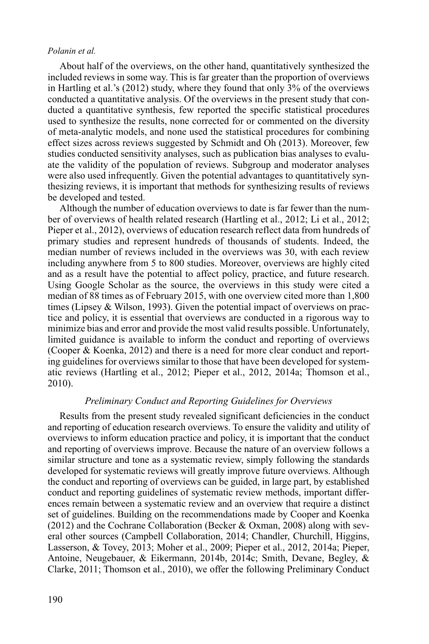About half of the overviews, on the other hand, quantitatively synthesized the included reviews in some way. This is far greater than the proportion of overviews in Hartling et al.'s (2012) study, where they found that only 3% of the overviews conducted a quantitative analysis. Of the overviews in the present study that conducted a quantitative synthesis, few reported the specific statistical procedures used to synthesize the results, none corrected for or commented on the diversity of meta-analytic models, and none used the statistical procedures for combining effect sizes across reviews suggested by Schmidt and Oh (2013). Moreover, few studies conducted sensitivity analyses, such as publication bias analyses to evaluate the validity of the population of reviews. Subgroup and moderator analyses were also used infrequently. Given the potential advantages to quantitatively synthesizing reviews, it is important that methods for synthesizing results of reviews be developed and tested.

Although the number of education overviews to date is far fewer than the number of overviews of health related research (Hartling et al., 2012; Li et al., 2012; Pieper et al., 2012), overviews of education research reflect data from hundreds of primary studies and represent hundreds of thousands of students. Indeed, the median number of reviews included in the overviews was 30, with each review including anywhere from 5 to 800 studies. Moreover, overviews are highly cited and as a result have the potential to affect policy, practice, and future research. Using Google Scholar as the source, the overviews in this study were cited a median of 88 times as of February 2015, with one overview cited more than 1,800 times (Lipsey & Wilson, 1993). Given the potential impact of overviews on practice and policy, it is essential that overviews are conducted in a rigorous way to minimize bias and error and provide the most valid results possible. Unfortunately, limited guidance is available to inform the conduct and reporting of overviews (Cooper & Koenka, 2012) and there is a need for more clear conduct and reporting guidelines for overviews similar to those that have been developed for systematic reviews (Hartling et al., 2012; Pieper et al., 2012, 2014a; Thomson et al., 2010).

# *Preliminary Conduct and Reporting Guidelines for Overviews*

Results from the present study revealed significant deficiencies in the conduct and reporting of education research overviews. To ensure the validity and utility of overviews to inform education practice and policy, it is important that the conduct and reporting of overviews improve. Because the nature of an overview follows a similar structure and tone as a systematic review, simply following the standards developed for systematic reviews will greatly improve future overviews. Although the conduct and reporting of overviews can be guided, in large part, by established conduct and reporting guidelines of systematic review methods, important differences remain between a systematic review and an overview that require a distinct set of guidelines. Building on the recommendations made by Cooper and Koenka (2012) and the Cochrane Collaboration (Becker & Oxman, 2008) along with several other sources (Campbell Collaboration, 2014; Chandler, Churchill, Higgins, Lasserson, & Tovey, 2013; Moher et al., 2009; Pieper et al., 2012, 2014a; Pieper, Antoine, Neugebauer, & Eikermann, 2014b, 2014c; Smith, Devane, Begley, & Clarke, 2011; Thomson et al., 2010), we offer the following Preliminary Conduct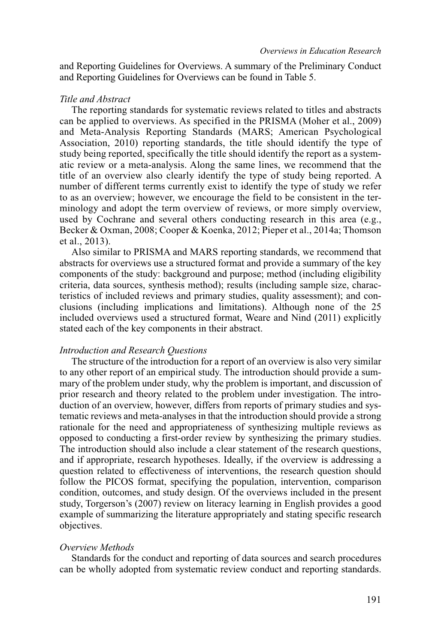and Reporting Guidelines for Overviews. A summary of the Preliminary Conduct and Reporting Guidelines for Overviews can be found in Table 5.

#### *Title and Abstract*

The reporting standards for systematic reviews related to titles and abstracts can be applied to overviews. As specified in the PRISMA (Moher et al., 2009) and Meta-Analysis Reporting Standards (MARS; American Psychological Association, 2010) reporting standards, the title should identify the type of study being reported, specifically the title should identify the report as a systematic review or a meta-analysis. Along the same lines, we recommend that the title of an overview also clearly identify the type of study being reported. A number of different terms currently exist to identify the type of study we refer to as an overview; however, we encourage the field to be consistent in the terminology and adopt the term overview of reviews, or more simply overview, used by Cochrane and several others conducting research in this area (e.g., Becker & Oxman, 2008; Cooper & Koenka, 2012; Pieper et al., 2014a; Thomson et al., 2013).

Also similar to PRISMA and MARS reporting standards, we recommend that abstracts for overviews use a structured format and provide a summary of the key components of the study: background and purpose; method (including eligibility criteria, data sources, synthesis method); results (including sample size, characteristics of included reviews and primary studies, quality assessment); and conclusions (including implications and limitations). Although none of the 25 included overviews used a structured format, Weare and Nind (2011) explicitly stated each of the key components in their abstract.

#### *Introduction and Research Questions*

The structure of the introduction for a report of an overview is also very similar to any other report of an empirical study. The introduction should provide a summary of the problem under study, why the problem is important, and discussion of prior research and theory related to the problem under investigation. The introduction of an overview, however, differs from reports of primary studies and systematic reviews and meta-analyses in that the introduction should provide a strong rationale for the need and appropriateness of synthesizing multiple reviews as opposed to conducting a first-order review by synthesizing the primary studies. The introduction should also include a clear statement of the research questions, and if appropriate, research hypotheses. Ideally, if the overview is addressing a question related to effectiveness of interventions, the research question should follow the PICOS format, specifying the population, intervention, comparison condition, outcomes, and study design. Of the overviews included in the present study, Torgerson's (2007) review on literacy learning in English provides a good example of summarizing the literature appropriately and stating specific research objectives.

#### *Overview Methods*

Standards for the conduct and reporting of data sources and search procedures can be wholly adopted from systematic review conduct and reporting standards.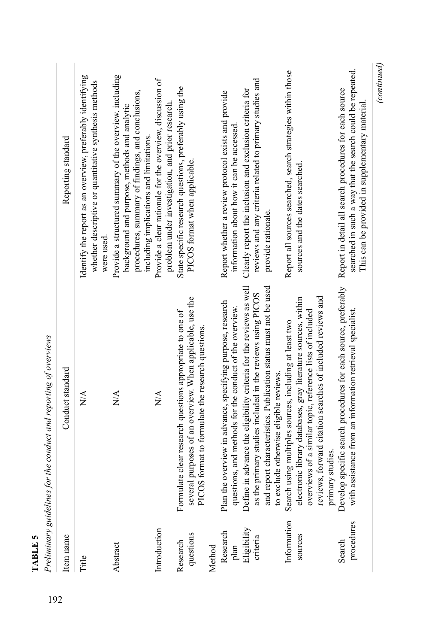| <b>TABLE 5</b>          |                                                                                                                                                                                                                                                                        |                                                                                                                                                                                                         |
|-------------------------|------------------------------------------------------------------------------------------------------------------------------------------------------------------------------------------------------------------------------------------------------------------------|---------------------------------------------------------------------------------------------------------------------------------------------------------------------------------------------------------|
|                         | Preliminary guidelines for the conduct and reporting of overviews                                                                                                                                                                                                      |                                                                                                                                                                                                         |
| Item name               | Conduct standard                                                                                                                                                                                                                                                       | Reporting standard                                                                                                                                                                                      |
| Title                   | $\stackrel{\triangle}{\geq}$                                                                                                                                                                                                                                           | Identify the report as an overview, preferably identifying<br>whether descriptive or quantitative synthesis methods<br>were used.                                                                       |
| Abstract                | $\mathop{\rm NA}\limits^\Delta$                                                                                                                                                                                                                                        | Provide a structured summary of the overview, including<br>procedures, summary of findings, and conclusions,<br>background and purpose, methods and analytic<br>including implications and limitations. |
| Introduction            | $\mathbb{N}\mathbb{A}$                                                                                                                                                                                                                                                 | Provide a clear rationale for the overview, discussion of<br>problem under investigation, and prior research.                                                                                           |
| questions<br>Research   | several purposes of an overview. When applicable, use the<br>Formulate clear research questions appropriate to one of<br>PICOS format to formulate the research questions.                                                                                             | State specific research questions, preferably using the<br>PICOS format when applicable.                                                                                                                |
| Method                  |                                                                                                                                                                                                                                                                        |                                                                                                                                                                                                         |
| Research<br>plan        | Plan the overview in advance, specifying purpose, research<br>questions, and methods for the conduct of the overview.                                                                                                                                                  | Report whether a review protocol exists and provide<br>information about how it can be accessed.                                                                                                        |
| Eligibility<br>criteria | Define in advance the eligibility criteria for the reviews as well<br>and report characteristics. Publication status must not be used<br>as the primary studies included in the reviews using PICOS<br>to exclude otherwise eligible reviews.                          | reviews and any criteria related to primary studies and<br>Clearly report the inclusion and exclusion criteria for<br>provide rationale.                                                                |
| Information<br>sources  | reviews, forward citation searches of included reviews and<br>electronic library databases, gray literature sources, within<br>overviews of a similar topic, reference lists of included<br>Search using multiples sources, including at least two<br>primary studies. | Report all sources searched, search strategies within those<br>sources and the dates searched.                                                                                                          |
| procedures<br>Search    | Develop specific search procedures for each source, preferably<br>with assistance from an information retrieval specialist.                                                                                                                                            | searched in such a way that the search could be repeated.<br>Report in detail all search procedures for each source<br>This can be provided in supplementary material                                   |
|                         |                                                                                                                                                                                                                                                                        | (continued)                                                                                                                                                                                             |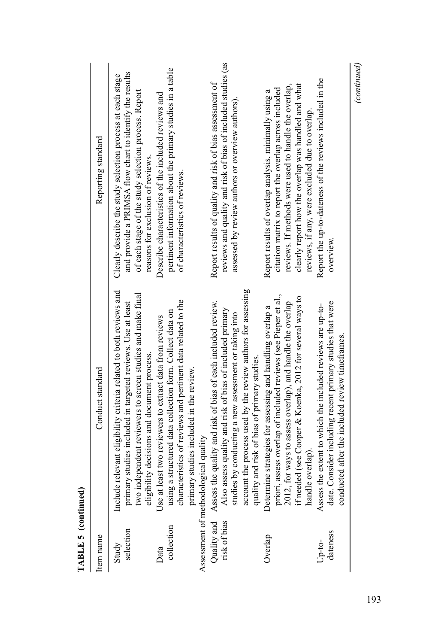| TABLE 5 (continued)         |                                                                                                                                                                                                                                                                                                                                           |                                                                                                                                                                                                                                                                                 |
|-----------------------------|-------------------------------------------------------------------------------------------------------------------------------------------------------------------------------------------------------------------------------------------------------------------------------------------------------------------------------------------|---------------------------------------------------------------------------------------------------------------------------------------------------------------------------------------------------------------------------------------------------------------------------------|
| Item name                   | Conduct standard                                                                                                                                                                                                                                                                                                                          | Reporting standard                                                                                                                                                                                                                                                              |
| selection<br>Study          | Include relevant eligibility criteria related to both reviews and<br>two independent reviewers to screen studies and make final<br>primary studies included in targeted reviews. Use at least<br>eligibility decisions and document process.                                                                                              | and provide a PRIMSA flow chart to identify the results<br>Clearly describe the study selection process at each stage<br>of each stage of the study selection process. Report<br>reasons for exclusion of reviews.                                                              |
| collection<br>Data          | characteristics of reviews and pertinent data related to the<br>using a structured data collection form. Collect data on<br>Use at least two reviewers to extract data from reviews<br>primary studies included in the review.                                                                                                            | pertinent information about the primary studies in a table<br>Describe characteristics of the included reviews and<br>of characteristics of reviews.                                                                                                                            |
| Quality and<br>risk of bias | account the process used by the review authors for assessing<br>Assess the quality and risk of bias of each included review.<br>Also assess quality and risk of bias of included primary<br>studies by conducting a new assessment or taking into<br>quality and risk of bias of primary studies.<br>Assessment of methodological quality | reviews and quality and risk of bias of included studies (as<br>Report results of quality and risk of bias assessment of<br>assessed by review authors or overview authors).                                                                                                    |
| Overlap                     | priori, assess overlap of included reviews (see Pieper et al.,<br>if needed (see Cooper & Koenka, 2012 for several ways to<br>2012, for ways to assess overlap), and handle the overlap<br>Determine strategies for assessing and handling overlap a<br>handle overlap)                                                                   | clearly report how the overlap was handled and what<br>reviews. If methods were used to handle the overlap,<br>citation matrix to report the overlap across included<br>Report results of overlap analysis, minimally using a<br>reviews, if any, were excluded due to overlap. |
| dateness<br>Up-to-          | date. Consider including recent primary studies that were<br>Assess the extent to which the included reviews are up-to-<br>conducted after the included review timeframes.                                                                                                                                                                | Report the up-to-dateness of the reviews included in the<br>overview.                                                                                                                                                                                                           |
|                             |                                                                                                                                                                                                                                                                                                                                           | (continued)                                                                                                                                                                                                                                                                     |

í **Table 5 (continued)**ï p j. Ï É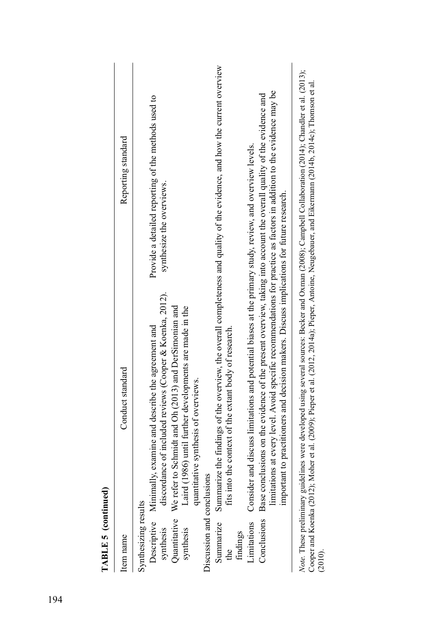| TABLE 5 (continued)                                                                                         |                                                                                                                                                                                                                                                                                                                                                                                                                                                         |                                                                                  |
|-------------------------------------------------------------------------------------------------------------|---------------------------------------------------------------------------------------------------------------------------------------------------------------------------------------------------------------------------------------------------------------------------------------------------------------------------------------------------------------------------------------------------------------------------------------------------------|----------------------------------------------------------------------------------|
| Item name                                                                                                   | Conduct standard                                                                                                                                                                                                                                                                                                                                                                                                                                        | Reporting standard                                                               |
| Discussion and conclusions<br>Synthesizing results<br>Descriptive<br>Quantitative<br>synthesis<br>synthesis | discordance of included reviews (Cooper & Koenka, 2012).<br>We refer to Schmidt and Oh (2013) and DerSimonian and<br>Laird (1986) until further developments are made in the<br>Minimally, examine and describe the agreement and<br>quantitative synthesis of overviews.                                                                                                                                                                               | Provide a detailed reporting of the methods used to<br>synthesize the overviews. |
| Summarize<br>findings<br>the                                                                                | Summarize the findings of the overview, the overall completeness and quality of the evidence, and how the current overview<br>fits into the context of the extant body of research.                                                                                                                                                                                                                                                                     |                                                                                  |
| Conclusions<br>Limitations                                                                                  | limitations at every level. Avoid specific recommendations for practice as factors in addition to the evidence may be<br>Base conclusions on the evidence of the present overview, taking into account the overall quality of the evidence and<br>Consider and discuss limitations and potential biases at the primary study, review, and overview levels.<br>important to practitioners and decision makers. Discuss implications for future research. |                                                                                  |
| (2010).                                                                                                     | Note. These preliminary guidelines were developed using several sources: Becker and Oxman (2008); Campbell Collaboration (2014); Chandler et al. (2013);<br>Cooper and Koenka (2012); Moher et al. (2009); Pieper et al. (2012, 2014a); Pieper, Antoine, Neugebauer, and Eikermann (2014b, 2014c); Thomson et al.                                                                                                                                       |                                                                                  |

# **T**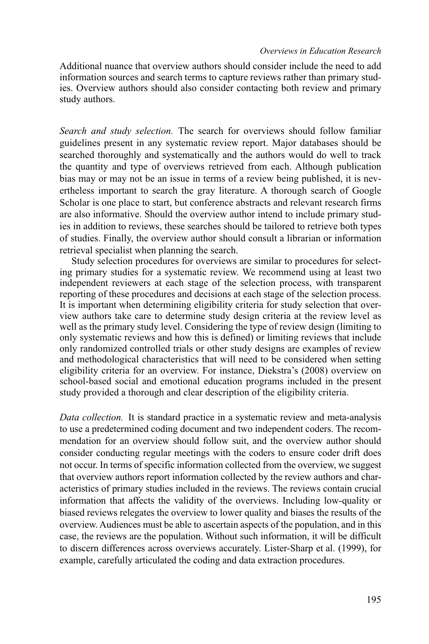#### *Overviews in Education Research*

Additional nuance that overview authors should consider include the need to add information sources and search terms to capture reviews rather than primary studies. Overview authors should also consider contacting both review and primary study authors.

*Search and study selection.* The search for overviews should follow familiar guidelines present in any systematic review report. Major databases should be searched thoroughly and systematically and the authors would do well to track the quantity and type of overviews retrieved from each. Although publication bias may or may not be an issue in terms of a review being published, it is nevertheless important to search the gray literature. A thorough search of Google Scholar is one place to start, but conference abstracts and relevant research firms are also informative. Should the overview author intend to include primary studies in addition to reviews, these searches should be tailored to retrieve both types of studies. Finally, the overview author should consult a librarian or information retrieval specialist when planning the search.

Study selection procedures for overviews are similar to procedures for selecting primary studies for a systematic review. We recommend using at least two independent reviewers at each stage of the selection process, with transparent reporting of these procedures and decisions at each stage of the selection process. It is important when determining eligibility criteria for study selection that overview authors take care to determine study design criteria at the review level as well as the primary study level. Considering the type of review design (limiting to only systematic reviews and how this is defined) or limiting reviews that include only randomized controlled trials or other study designs are examples of review and methodological characteristics that will need to be considered when setting eligibility criteria for an overview. For instance, Diekstra's (2008) overview on school-based social and emotional education programs included in the present study provided a thorough and clear description of the eligibility criteria.

*Data collection.* It is standard practice in a systematic review and meta-analysis to use a predetermined coding document and two independent coders. The recommendation for an overview should follow suit, and the overview author should consider conducting regular meetings with the coders to ensure coder drift does not occur. In terms of specific information collected from the overview, we suggest that overview authors report information collected by the review authors and characteristics of primary studies included in the reviews. The reviews contain crucial information that affects the validity of the overviews. Including low-quality or biased reviews relegates the overview to lower quality and biases the results of the overview. Audiences must be able to ascertain aspects of the population, and in this case, the reviews are the population. Without such information, it will be difficult to discern differences across overviews accurately. Lister-Sharp et al. (1999), for example, carefully articulated the coding and data extraction procedures.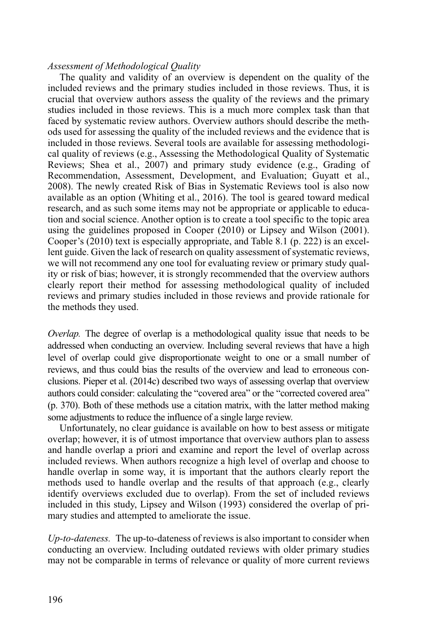# *Assessment of Methodological Quality*

The quality and validity of an overview is dependent on the quality of the included reviews and the primary studies included in those reviews. Thus, it is crucial that overview authors assess the quality of the reviews and the primary studies included in those reviews. This is a much more complex task than that faced by systematic review authors. Overview authors should describe the methods used for assessing the quality of the included reviews and the evidence that is included in those reviews. Several tools are available for assessing methodological quality of reviews (e.g., Assessing the Methodological Quality of Systematic Reviews; Shea et al., 2007) and primary study evidence (e.g., Grading of Recommendation, Assessment, Development, and Evaluation; Guyatt et al., 2008). The newly created Risk of Bias in Systematic Reviews tool is also now available as an option (Whiting et al., 2016). The tool is geared toward medical research, and as such some items may not be appropriate or applicable to education and social science. Another option is to create a tool specific to the topic area using the guidelines proposed in Cooper (2010) or Lipsey and Wilson (2001). Cooper's (2010) text is especially appropriate, and Table 8.1 (p. 222) is an excellent guide. Given the lack of research on quality assessment of systematic reviews, we will not recommend any one tool for evaluating review or primary study quality or risk of bias; however, it is strongly recommended that the overview authors clearly report their method for assessing methodological quality of included reviews and primary studies included in those reviews and provide rationale for the methods they used.

*Overlap.* The degree of overlap is a methodological quality issue that needs to be addressed when conducting an overview. Including several reviews that have a high level of overlap could give disproportionate weight to one or a small number of reviews, and thus could bias the results of the overview and lead to erroneous conclusions. Pieper et al. (2014c) described two ways of assessing overlap that overview authors could consider: calculating the "covered area" or the "corrected covered area" (p. 370). Both of these methods use a citation matrix, with the latter method making some adjustments to reduce the influence of a single large review.

Unfortunately, no clear guidance is available on how to best assess or mitigate overlap; however, it is of utmost importance that overview authors plan to assess and handle overlap a priori and examine and report the level of overlap across included reviews. When authors recognize a high level of overlap and choose to handle overlap in some way, it is important that the authors clearly report the methods used to handle overlap and the results of that approach (e.g., clearly identify overviews excluded due to overlap). From the set of included reviews included in this study, Lipsey and Wilson (1993) considered the overlap of primary studies and attempted to ameliorate the issue.

*Up-to-dateness.* The up-to-dateness of reviews is also important to consider when conducting an overview. Including outdated reviews with older primary studies may not be comparable in terms of relevance or quality of more current reviews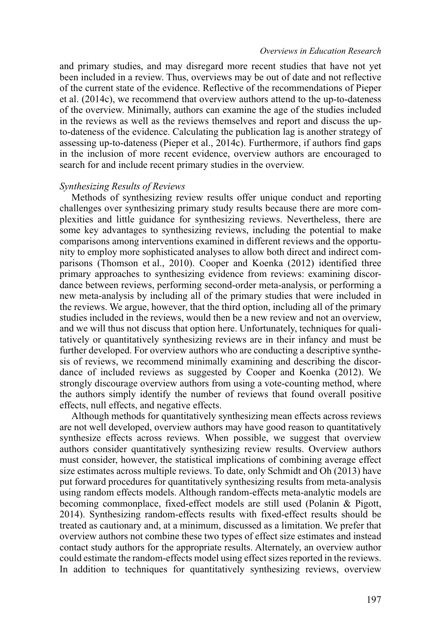and primary studies, and may disregard more recent studies that have not yet been included in a review. Thus, overviews may be out of date and not reflective of the current state of the evidence. Reflective of the recommendations of Pieper et al. (2014c), we recommend that overview authors attend to the up-to-dateness of the overview. Minimally, authors can examine the age of the studies included in the reviews as well as the reviews themselves and report and discuss the upto-dateness of the evidence. Calculating the publication lag is another strategy of assessing up-to-dateness (Pieper et al., 2014c). Furthermore, if authors find gaps in the inclusion of more recent evidence, overview authors are encouraged to search for and include recent primary studies in the overview.

#### *Synthesizing Results of Reviews*

Methods of synthesizing review results offer unique conduct and reporting challenges over synthesizing primary study results because there are more complexities and little guidance for synthesizing reviews. Nevertheless, there are some key advantages to synthesizing reviews, including the potential to make comparisons among interventions examined in different reviews and the opportunity to employ more sophisticated analyses to allow both direct and indirect comparisons (Thomson et al., 2010). Cooper and Koenka (2012) identified three primary approaches to synthesizing evidence from reviews: examining discordance between reviews, performing second-order meta-analysis, or performing a new meta-analysis by including all of the primary studies that were included in the reviews. We argue, however, that the third option, including all of the primary studies included in the reviews, would then be a new review and not an overview, and we will thus not discuss that option here. Unfortunately, techniques for qualitatively or quantitatively synthesizing reviews are in their infancy and must be further developed. For overview authors who are conducting a descriptive synthesis of reviews, we recommend minimally examining and describing the discordance of included reviews as suggested by Cooper and Koenka (2012). We strongly discourage overview authors from using a vote-counting method, where the authors simply identify the number of reviews that found overall positive effects, null effects, and negative effects.

Although methods for quantitatively synthesizing mean effects across reviews are not well developed, overview authors may have good reason to quantitatively synthesize effects across reviews. When possible, we suggest that overview authors consider quantitatively synthesizing review results. Overview authors must consider, however, the statistical implications of combining average effect size estimates across multiple reviews. To date, only Schmidt and Oh (2013) have put forward procedures for quantitatively synthesizing results from meta-analysis using random effects models. Although random-effects meta-analytic models are becoming commonplace, fixed-effect models are still used (Polanin & Pigott, 2014). Synthesizing random-effects results with fixed-effect results should be treated as cautionary and, at a minimum, discussed as a limitation. We prefer that overview authors not combine these two types of effect size estimates and instead contact study authors for the appropriate results. Alternately, an overview author could estimate the random-effects model using effect sizes reported in the reviews. In addition to techniques for quantitatively synthesizing reviews, overview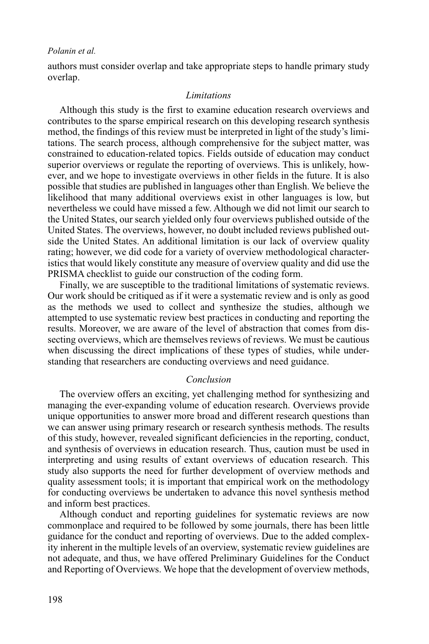authors must consider overlap and take appropriate steps to handle primary study overlap.

#### *Limitations*

Although this study is the first to examine education research overviews and contributes to the sparse empirical research on this developing research synthesis method, the findings of this review must be interpreted in light of the study's limitations. The search process, although comprehensive for the subject matter, was constrained to education-related topics. Fields outside of education may conduct superior overviews or regulate the reporting of overviews. This is unlikely, however, and we hope to investigate overviews in other fields in the future. It is also possible that studies are published in languages other than English. We believe the likelihood that many additional overviews exist in other languages is low, but nevertheless we could have missed a few. Although we did not limit our search to the United States, our search yielded only four overviews published outside of the United States. The overviews, however, no doubt included reviews published outside the United States. An additional limitation is our lack of overview quality rating; however, we did code for a variety of overview methodological characteristics that would likely constitute any measure of overview quality and did use the PRISMA checklist to guide our construction of the coding form.

Finally, we are susceptible to the traditional limitations of systematic reviews. Our work should be critiqued as if it were a systematic review and is only as good as the methods we used to collect and synthesize the studies, although we attempted to use systematic review best practices in conducting and reporting the results. Moreover, we are aware of the level of abstraction that comes from dissecting overviews, which are themselves reviews of reviews. We must be cautious when discussing the direct implications of these types of studies, while understanding that researchers are conducting overviews and need guidance.

# *Conclusion*

The overview offers an exciting, yet challenging method for synthesizing and managing the ever-expanding volume of education research. Overviews provide unique opportunities to answer more broad and different research questions than we can answer using primary research or research synthesis methods. The results of this study, however, revealed significant deficiencies in the reporting, conduct, and synthesis of overviews in education research. Thus, caution must be used in interpreting and using results of extant overviews of education research. This study also supports the need for further development of overview methods and quality assessment tools; it is important that empirical work on the methodology for conducting overviews be undertaken to advance this novel synthesis method and inform best practices.

Although conduct and reporting guidelines for systematic reviews are now commonplace and required to be followed by some journals, there has been little guidance for the conduct and reporting of overviews. Due to the added complexity inherent in the multiple levels of an overview, systematic review guidelines are not adequate, and thus, we have offered Preliminary Guidelines for the Conduct and Reporting of Overviews. We hope that the development of overview methods,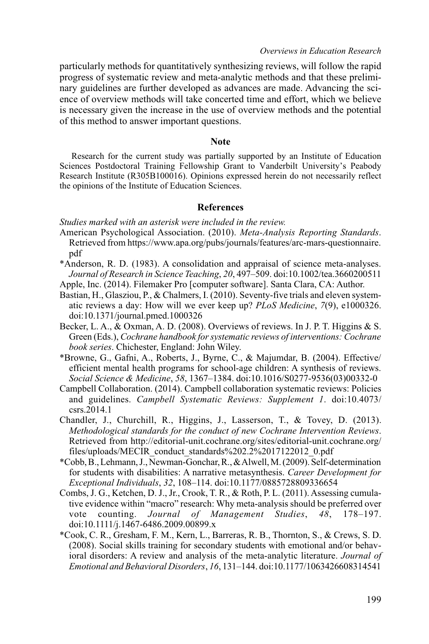particularly methods for quantitatively synthesizing reviews, will follow the rapid progress of systematic review and meta-analytic methods and that these preliminary guidelines are further developed as advances are made. Advancing the science of overview methods will take concerted time and effort, which we believe is necessary given the increase in the use of overview methods and the potential of this method to answer important questions.

# **Note**

Research for the current study was partially supported by an Institute of Education Sciences Postdoctoral Training Fellowship Grant to Vanderbilt University's Peabody Research Institute (R305B100016). Opinions expressed herein do not necessarily reflect the opinions of the Institute of Education Sciences.

#### **References**

*Studies marked with an asterisk were included in the review.*

- American Psychological Association. (2010). *Meta-Analysis Reporting Standards*. Retrieved from [https://www.apa.org/pubs/journals/features/arc-mars-questionnaire.](https://www.apa.org/pubs/journals/features/arc-mars-questionnaire.pdf) [pdf](https://www.apa.org/pubs/journals/features/arc-mars-questionnaire.pdf)
- \*Anderson, R. D. (1983). A consolidation and appraisal of science meta-analyses. *Journal of Research in Science Teaching*, *20*, 497–509. doi:10.1002/tea.3660200511
- Apple, Inc. (2014). Filemaker Pro [computer software]. Santa Clara, CA: Author.
- Bastian, H., Glasziou, P., & Chalmers, I. (2010). Seventy-five trials and eleven systematic reviews a day: How will we ever keep up? *PLoS Medicine*, *7*(9), e1000326. doi:10.1371/journal.pmed.1000326
- Becker, L. A., & Oxman, A. D. (2008). Overviews of reviews. In J. P. T. Higgins & S. Green (Eds.), *Cochrane handbook for systematic reviews of interventions: Cochrane book series*. Chichester, England: John Wiley.
- \*Browne, G., Gafni, A., Roberts, J., Byrne, C., & Majumdar, B. (2004). Effective/ efficient mental health programs for school-age children: A synthesis of reviews. *Social Science & Medicine*, *58*, 1367–1384. doi:10.1016/S0277-9536(03)00332-0
- Campbell Collaboration. (2014). Campbell collaboration systematic reviews: Policies and guidelines. *Campbell Systematic Reviews: Supplement 1*. doi:10.4073/ csrs.2014.1
- Chandler, J., Churchill, R., Higgins, J., Lasserson, T., & Tovey, D. (2013). *Methodological standards for the conduct of new Cochrane Intervention Reviews*. Retrieved from [http://editorial-unit.cochrane.org/sites/editorial-unit.cochrane.org/](http://editorial-unit.cochrane.org/sites/editorial-unit.cochrane.org/files/uploads/MECIR_conduct_standards%202.2%2017122012_0.pdf) [files/uploads/MECIR\\_conduct\\_standards%202.2%2017122012\\_0.pdf](http://editorial-unit.cochrane.org/sites/editorial-unit.cochrane.org/files/uploads/MECIR_conduct_standards%202.2%2017122012_0.pdf)
- \*Cobb, B., Lehmann, J., Newman-Gonchar, R., & Alwell, M. (2009). Self-determination for students with disabilities: A narrative metasynthesis. *Career Development for Exceptional Individuals*, *32*, 108–114. doi:10.1177/0885728809336654
- Combs, J. G., Ketchen, D. J., Jr., Crook, T. R., & Roth, P. L. (2011). Assessing cumulative evidence within "macro" research: Why meta-analysis should be preferred over vote counting. *Journal of Management Studies*, *48*, 178–197. doi:10.1111/j.1467-6486.2009.00899.x
- \*Cook, C. R., Gresham, F. M., Kern, L., Barreras, R. B., Thornton, S., & Crews, S. D. (2008). Social skills training for secondary students with emotional and/or behavioral disorders: A review and analysis of the meta-analytic literature. *Journal of Emotional and Behavioral Disorders*, *16*, 131–144. doi:10.1177/1063426608314541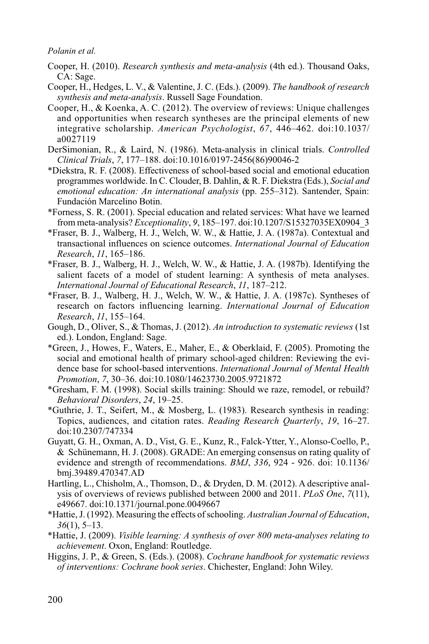- Cooper, H. (2010). *Research synthesis and meta-analysis* (4th ed.). Thousand Oaks, CA: Sage.
- Cooper, H., Hedges, L. V., & Valentine, J. C. (Eds.). (2009). *The handbook of research synthesis and meta-analysis*. Russell Sage Foundation.
- Cooper, H., & Koenka, A. C. (2012). The overview of reviews: Unique challenges and opportunities when research syntheses are the principal elements of new integrative scholarship. *American Psychologist*, *67*, 446–462. doi:10.1037/ a0027119
- DerSimonian, R., & Laird, N. (1986). Meta-analysis in clinical trials. *Controlled Clinical Trials*, *7*, 177–188. doi:10.1016/0197-2456(86)90046-2
- \*Diekstra, R. F. (2008). Effectiveness of school-based social and emotional education programmes worldwide. In C. Clouder, B. Dahlin, & R. F. Diekstra (Eds.), *Social and emotional education: An international analysis* (pp. 255–312). Santender, Spain: Fundación Marcelino Botin.
- \*Forness, S. R. (2001). Special education and related services: What have we learned from meta-analysis? *Exceptionality*, *9*, 185–197. doi:10.1207/S15327035EX0904\_3
- \*Fraser, B. J., Walberg, H. J., Welch, W. W., & Hattie, J. A. (1987a). Contextual and transactional influences on science outcomes. *International Journal of Education Research*, *11*, 165–186.
- \*Fraser, B. J., Walberg, H. J., Welch, W. W., & Hattie, J. A. (1987b). Identifying the salient facets of a model of student learning: A synthesis of meta analyses. *International Journal of Educational Research*, *11*, 187–212.
- \*Fraser, B. J., Walberg, H. J., Welch, W. W., & Hattie, J. A. (1987c). Syntheses of research on factors influencing learning. *International Journal of Education Research*, *11*, 155–164.
- Gough, D., Oliver, S., & Thomas, J. (2012). *An introduction to systematic reviews* (1st ed.). London, England: Sage.
- \*Green, J., Howes, F., Waters, E., Maher, E., & Oberklaid, F. (2005). Promoting the social and emotional health of primary school-aged children: Reviewing the evidence base for school-based interventions. *International Journal of Mental Health Promotion*, *7*, 30–36. doi:10.1080/14623730.2005.9721872
- \*Gresham, F. M. (1998). Social skills training: Should we raze, remodel, or rebuild? *Behavioral Disorders*, *24*, 19–25.
- \*Guthrie, J. T., Seifert, M., & Mosberg, L. (1983). Research synthesis in reading: Topics, audiences, and citation rates. *Reading Research Quarterly*, *19*, 16–27. doi:10.2307/747334
- Guyatt, G. H., Oxman, A. D., Vist, G. E., Kunz, R., Falck-Ytter, Y., Alonso-Coello, P., & Schünemann, H. J. (2008). GRADE: An emerging consensus on rating quality of evidence and strength of recommendations. *BMJ*, *336*, 924 - 926. doi: 10.1136/ bmj.39489.470347.AD
- Hartling, L., Chisholm, A., Thomson, D., & Dryden, D. M. (2012). A descriptive analysis of overviews of reviews published between 2000 and 2011. *PLoS One*, *7*(11), e49667. doi:10.1371/journal.pone.0049667
- \*Hattie, J. (1992). Measuring the effects of schooling. *Australian Journal of Education*, *36*(1), 5–13.
- \*Hattie, J. (2009). *Visible learning: A synthesis of over 800 meta-analyses relating to achievement*. Oxon, England: Routledge.
- Higgins, J. P., & Green, S. (Eds.). (2008). *Cochrane handbook for systematic reviews of interventions: Cochrane book series*. Chichester, England: John Wiley.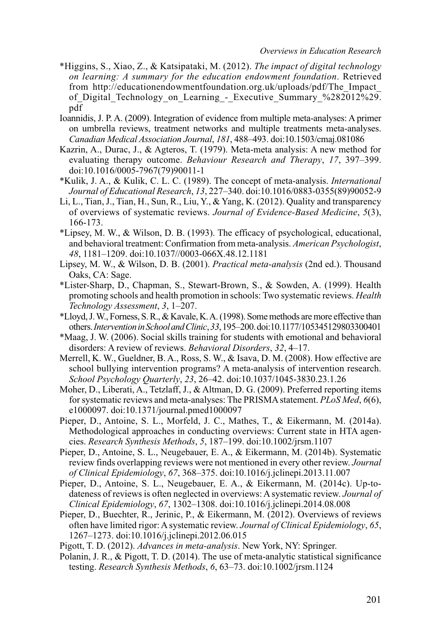- \*Higgins, S., Xiao, Z., & Katsipataki, M. (2012). *The impact of digital technology on learning: A summary for the education endowment foundation*. Retrieved from [http://educationendowmentfoundation.org.uk/uploads/pdf/The\\_Impact\\_](http://educationendowmentfoundation.org.uk/uploads/pdf/The_Impact_of_Digital_Technology_on_Learning_-_Executive_Summary_%282012%29.pdf) of Digital Technology on Learning - Executive Summary %282012%29. [pdf](http://educationendowmentfoundation.org.uk/uploads/pdf/The_Impact_of_Digital_Technology_on_Learning_-_Executive_Summary_%282012%29.pdf)
- Ioannidis, J. P. A. (2009). Integration of evidence from multiple meta-analyses: A primer on umbrella reviews, treatment networks and multiple treatments meta-analyses. *Canadian Medical Association Journal*, *181*, 488–493. doi:10.1503/cmaj.081086
- Kazrin, A., Durac, J., & Agteros, T. (1979). Meta-meta analysis: A new method for evaluating therapy outcome. *Behaviour Research and Therapy*, *17*, 397–399. doi:10.1016/0005-7967(79)90011-1
- \*Kulik, J. A., & Kulik, C. L. C. (1989). The concept of meta-analysis. *International Journal of Educational Research*, *13*, 227–340. doi:10.1016/0883-0355(89)90052-9
- Li, L., Tian, J., Tian, H., Sun, R., Liu, Y., & Yang, K. (2012). Quality and transparency of overviews of systematic reviews. *Journal of Evidence-Based Medicine*, *5*(3), 166-173.
- \*Lipsey, M. W., & Wilson, D. B. (1993). The efficacy of psychological, educational, and behavioral treatment: Confirmation from meta-analysis. *American Psychologist*, *48*, 1181–1209. doi:10.1037//0003-066X.48.12.1181
- Lipsey, M. W., & Wilson, D. B. (2001). *Practical meta-analysis* (2nd ed.). Thousand Oaks, CA: Sage.
- \*Lister-Sharp, D., Chapman, S., Stewart-Brown, S., & Sowden, A. (1999). Health promoting schools and health promotion in schools: Two systematic reviews. *Health Technology Assessment*, *3*, 1–207.
- \*Lloyd, J. W., Forness, S. R., & Kavale, K. A. (1998). Some methods are more effective than others. *Intervention in School and Clinic*, *33*, 195–200. doi:10.1177/105345129803300401
- \*Maag, J. W. (2006). Social skills training for students with emotional and behavioral disorders: A review of reviews. *Behavioral Disorders*, *32*, 4–17.
- Merrell, K. W., Gueldner, B. A., Ross, S. W., & Isava, D. M. (2008). How effective are school bullying intervention programs? A meta-analysis of intervention research. *School Psychology Quarterly*, *23*, 26–42. doi:10.1037/1045-3830.23.1.26
- Moher, D., Liberati, A., Tetzlaff, J., & Altman, D. G. (2009). Preferred reporting items for systematic reviews and meta-analyses: The PRISMA statement. *PLoS Med*, *6*(6), e1000097. doi:10.1371/journal.pmed1000097
- Pieper, D., Antoine, S. L., Morfeld, J. C., Mathes, T., & Eikermann, M. (2014a). Methodological approaches in conducting overviews: Current state in HTA agencies. *Research Synthesis Methods*, *5*, 187–199. doi:10.1002/jrsm.1107
- Pieper, D., Antoine, S. L., Neugebauer, E. A., & Eikermann, M. (2014b). Systematic review finds overlapping reviews were not mentioned in every other review. *Journal of Clinical Epidemiology*, *67*, 368–375. doi:10.1016/j.jclinepi.2013.11.007
- Pieper, D., Antoine, S. L., Neugebauer, E. A., & Eikermann, M. (2014c). Up-todateness of reviews is often neglected in overviews: A systematic review. *Journal of Clinical Epidemiology*, *67*, 1302–1308. doi:10.1016/j.jclinepi.2014.08.008
- Pieper, D., Buechter, R., Jerinic, P., & Eikermann, M. (2012). Overviews of reviews often have limited rigor: A systematic review. *Journal of Clinical Epidemiology*, *65*, 1267–1273. doi:10.1016/j.jclinepi.2012.06.015
- Pigott, T. D. (2012). *Advances in meta-analysis*. New York, NY: Springer.
- Polanin, J. R., & Pigott, T. D. (2014). The use of meta-analytic statistical significance testing. *Research Synthesis Methods*, *6*, 63–73. doi:10.1002/jrsm.1124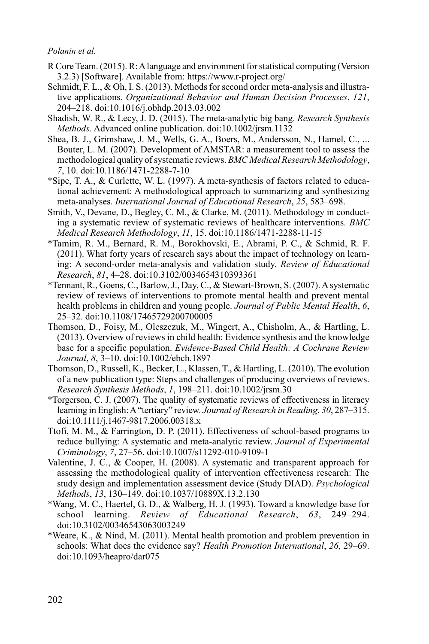- R Core Team. (2015). R: A language and environment for statistical computing (Version 3.2.3) [Software]. Available from: <https://www.r-project.org/>
- Schmidt, F. L., & Oh, I. S. (2013). Methods for second order meta-analysis and illustrative applications. *Organizational Behavior and Human Decision Processes*, *121*, 204–218. doi:10.1016/j.obhdp.2013.03.002
- Shadish, W. R., & Lecy, J. D. (2015). The meta-analytic big bang. *Research Synthesis Methods*. Advanced online publication. doi:10.1002/jrsm.1132
- Shea, B. J., Grimshaw, J. M., Wells, G. A., Boers, M., Andersson, N., Hamel, C., ... Bouter, L. M. (2007). Development of AMSTAR: a measurement tool to assess the methodological quality of systematic reviews. *BMC Medical Research Methodology*, *7*, 10. doi:10.1186/1471-2288-7-10
- \*Sipe, T. A., & Curlette, W. L. (1997). A meta-synthesis of factors related to educational achievement: A methodological approach to summarizing and synthesizing meta-analyses. *International Journal of Educational Research*, *25*, 583–698.
- Smith, V., Devane, D., Begley, C. M., & Clarke, M. (2011). Methodology in conducting a systematic review of systematic reviews of healthcare interventions. *BMC Medical Research Methodology*, *11*, 15. doi:10.1186/1471-2288-11-15
- \*Tamim, R. M., Bernard, R. M., Borokhovski, E., Abrami, P. C., & Schmid, R. F. (2011). What forty years of research says about the impact of technology on learning: A second-order meta-analysis and validation study. *Review of Educational Research*, *81*, 4–28. doi:10.3102/0034654310393361
- \*Tennant, R., Goens, C., Barlow, J., Day, C., & Stewart-Brown, S. (2007). A systematic review of reviews of interventions to promote mental health and prevent mental health problems in children and young people. *Journal of Public Mental Health*, *6*, 25–32. doi:10.1108/17465729200700005
- Thomson, D., Foisy, M., Oleszczuk, M., Wingert, A., Chisholm, A., & Hartling, L. (2013). Overview of reviews in child health: Evidence synthesis and the knowledge base for a specific population. *Evidence-Based Child Health: A Cochrane Review Journal*, *8*, 3–10. doi:10.1002/ebch.1897
- Thomson, D., Russell, K., Becker, L., Klassen, T., & Hartling, L. (2010). The evolution of a new publication type: Steps and challenges of producing overviews of reviews. *Research Synthesis Methods*, *1*, 198–211. doi:10.1002/jrsm.30
- \*Torgerson, C. J. (2007). The quality of systematic reviews of effectiveness in literacy learning in English: A "tertiary" review. *Journal of Research in Reading*, *30*, 287–315. doi:10.1111/j.1467-9817.2006.00318.x
- Ttofi, M. M., & Farrington, D. P. (2011). Effectiveness of school-based programs to reduce bullying: A systematic and meta-analytic review. *Journal of Experimental Criminology*, *7*, 27–56. doi:10.1007/s11292-010-9109-1
- Valentine, J. C., & Cooper, H. (2008). A systematic and transparent approach for assessing the methodological quality of intervention effectiveness research: The study design and implementation assessment device (Study DIAD). *Psychological Methods*, *13*, 130–149. doi:10.1037/10889X.13.2.130
- \*Wang, M. C., Haertel, G. D., & Walberg, H. J. (1993). Toward a knowledge base for school learning. *Review of Educational Research*, *63*, 249–294. doi:10.3102/00346543063003249
- \*Weare, K., & Nind, M. (2011). Mental health promotion and problem prevention in schools: What does the evidence say? *Health Promotion International*, *26*, 29–69. doi:10.1093/heapro/dar075